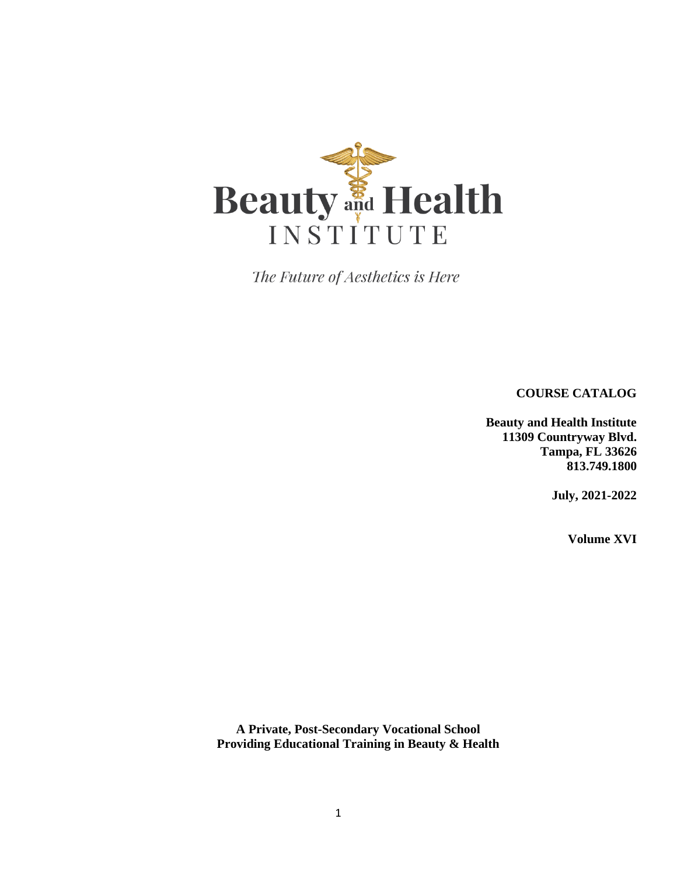

The Future of Aesthetics is Here

**COURSE CATALOG**

**Beauty and Health Institute 11309 Countryway Blvd. Tampa, FL 33626 813.749.1800**

**July, 2021-2022** 

**Volume XVI**

**A Private, Post-Secondary Vocational School Providing Educational Training in Beauty & Health**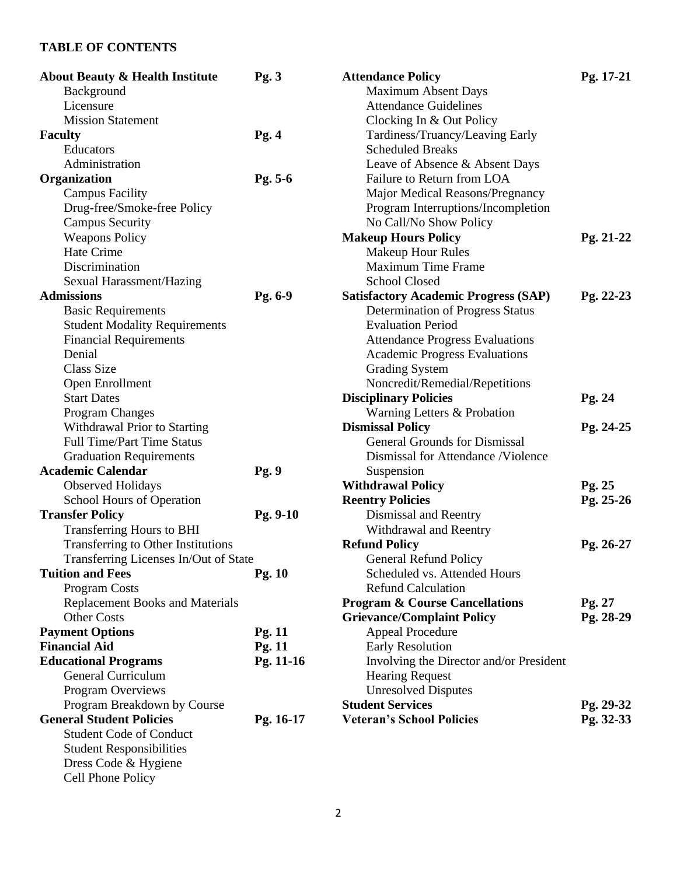# **TABLE OF CONTENTS**

| <b>About Beauty &amp; Health Institute</b> | Pg.3       | <b>Attendance Policy</b>                    | Pg. 17-21 |
|--------------------------------------------|------------|---------------------------------------------|-----------|
| Background                                 |            | <b>Maximum Absent Days</b>                  |           |
| Licensure                                  |            | <b>Attendance Guidelines</b>                |           |
| <b>Mission Statement</b>                   |            | Clocking In & Out Policy                    |           |
| <b>Faculty</b>                             | Pg.4       | Tardiness/Truancy/Leaving Early             |           |
| Educators                                  |            | <b>Scheduled Breaks</b>                     |           |
| Administration                             |            | Leave of Absence & Absent Days              |           |
| Organization                               | Pg. 5-6    | Failure to Return from LOA                  |           |
| <b>Campus Facility</b>                     |            | Major Medical Reasons/Pregnancy             |           |
| Drug-free/Smoke-free Policy                |            | Program Interruptions/Incompletion          |           |
| <b>Campus Security</b>                     |            | No Call/No Show Policy                      |           |
| <b>Weapons Policy</b>                      |            | <b>Makeup Hours Policy</b>                  | Pg. 21-22 |
| Hate Crime                                 |            | <b>Makeup Hour Rules</b>                    |           |
| Discrimination                             |            | <b>Maximum Time Frame</b>                   |           |
| Sexual Harassment/Hazing                   |            | <b>School Closed</b>                        |           |
| <b>Admissions</b>                          | Pg. 6-9    | <b>Satisfactory Academic Progress (SAP)</b> | Pg. 22-23 |
| <b>Basic Requirements</b>                  |            | Determination of Progress Status            |           |
| <b>Student Modality Requirements</b>       |            | <b>Evaluation Period</b>                    |           |
| <b>Financial Requirements</b>              |            | <b>Attendance Progress Evaluations</b>      |           |
| Denial                                     |            | <b>Academic Progress Evaluations</b>        |           |
| <b>Class Size</b>                          |            | <b>Grading System</b>                       |           |
| Open Enrollment                            |            | Noncredit/Remedial/Repetitions              |           |
| <b>Start Dates</b>                         |            | <b>Disciplinary Policies</b>                | Pg. 24    |
| Program Changes                            |            | Warning Letters & Probation                 |           |
| Withdrawal Prior to Starting               |            | <b>Dismissal Policy</b>                     | Pg. 24-25 |
| <b>Full Time/Part Time Status</b>          |            | <b>General Grounds for Dismissal</b>        |           |
| <b>Graduation Requirements</b>             |            | Dismissal for Attendance /Violence          |           |
| <b>Academic Calendar</b>                   | Pg. 9      | Suspension                                  |           |
| <b>Observed Holidays</b>                   |            | <b>Withdrawal Policy</b>                    | Pg. 25    |
| <b>School Hours of Operation</b>           |            | <b>Reentry Policies</b>                     | Pg. 25-26 |
| <b>Transfer Policy</b>                     | $Pg. 9-10$ | Dismissal and Reentry                       |           |
| Transferring Hours to BHI                  |            | Withdrawal and Reentry                      |           |
| Transferring to Other Institutions         |            | <b>Refund Policy</b>                        | Pg. 26-27 |
| Transferring Licenses In/Out of State      |            | <b>General Refund Policy</b>                |           |
| <b>Tuition and Fees</b>                    | Pg. $10$   | Scheduled vs. Attended Hours                |           |
| Program Costs                              |            | <b>Refund Calculation</b>                   |           |
| <b>Replacement Books and Materials</b>     |            | <b>Program &amp; Course Cancellations</b>   | Pg. 27    |
| <b>Other Costs</b>                         |            | <b>Grievance/Complaint Policy</b>           | Pg. 28-29 |
| <b>Payment Options</b>                     | Pg.11      | <b>Appeal Procedure</b>                     |           |
| <b>Financial Aid</b>                       | Pg. 11     | <b>Early Resolution</b>                     |           |
| <b>Educational Programs</b>                | Pg. 11-16  | Involving the Director and/or President     |           |
| <b>General Curriculum</b>                  |            | <b>Hearing Request</b>                      |           |
| Program Overviews                          |            | <b>Unresolved Disputes</b>                  |           |
| Program Breakdown by Course                |            | <b>Student Services</b>                     | Pg. 29-32 |
| <b>General Student Policies</b>            | Pg. 16-17  | <b>Veteran's School Policies</b>            | Pg. 32-33 |
| <b>Student Code of Conduct</b>             |            |                                             |           |
| <b>Student Responsibilities</b>            |            |                                             |           |
| Dress Code & Hygiene                       |            |                                             |           |
| Cell Phone Policy                          |            |                                             |           |
|                                            |            |                                             |           |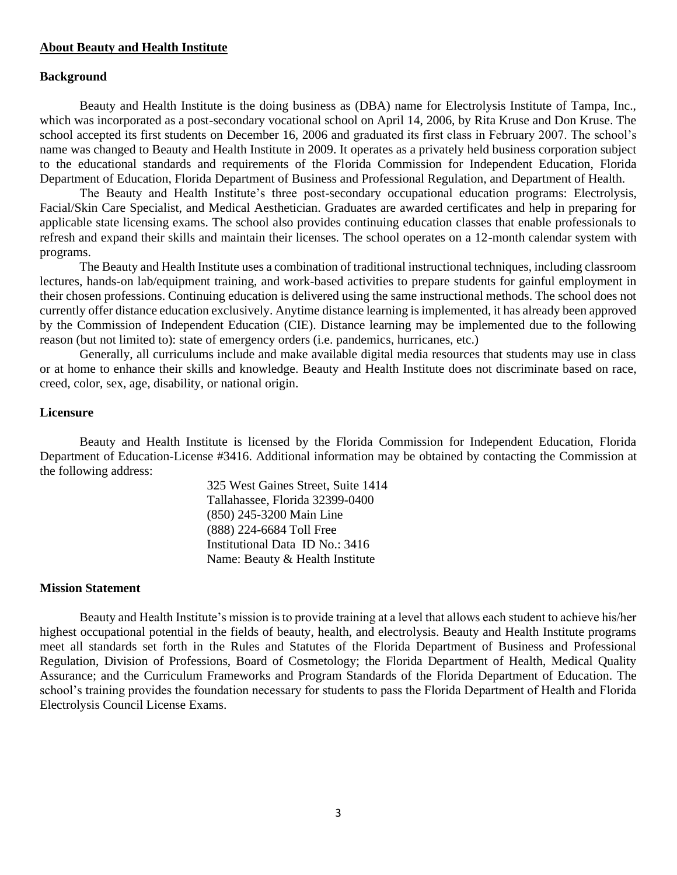#### **About Beauty and Health Institute**

#### **Background**

Beauty and Health Institute is the doing business as (DBA) name for Electrolysis Institute of Tampa, Inc., which was incorporated as a post-secondary vocational school on April 14, 2006, by Rita Kruse and Don Kruse. The school accepted its first students on December 16, 2006 and graduated its first class in February 2007. The school's name was changed to Beauty and Health Institute in 2009. It operates as a privately held business corporation subject to the educational standards and requirements of the Florida Commission for Independent Education, Florida Department of Education, Florida Department of Business and Professional Regulation, and Department of Health.

The Beauty and Health Institute's three post-secondary occupational education programs: Electrolysis, Facial/Skin Care Specialist, and Medical Aesthetician. Graduates are awarded certificates and help in preparing for applicable state licensing exams. The school also provides continuing education classes that enable professionals to refresh and expand their skills and maintain their licenses. The school operates on a 12-month calendar system with programs.

The Beauty and Health Institute uses a combination of traditional instructional techniques, including classroom lectures, hands-on lab/equipment training, and work-based activities to prepare students for gainful employment in their chosen professions. Continuing education is delivered using the same instructional methods. The school does not currently offer distance education exclusively. Anytime distance learning is implemented, it has already been approved by the Commission of Independent Education (CIE). Distance learning may be implemented due to the following reason (but not limited to): state of emergency orders (i.e. pandemics, hurricanes, etc.)

Generally, all curriculums include and make available digital media resources that students may use in class or at home to enhance their skills and knowledge. Beauty and Health Institute does not discriminate based on race, creed, color, sex, age, disability, or national origin.

#### **Licensure**

Beauty and Health Institute is licensed by the Florida Commission for Independent Education, Florida Department of Education-License #3416. Additional information may be obtained by contacting the Commission at the following address:

> 325 West Gaines Street, Suite 1414 Tallahassee, Florida 32399-0400 (850) 245-3200 Main Line (888) 224-6684 Toll Free Institutional Data ID No.: 3416 Name: Beauty & Health Institute

#### **Mission Statement**

Beauty and Health Institute's mission is to provide training at a level that allows each student to achieve his/her highest occupational potential in the fields of beauty, health, and electrolysis. Beauty and Health Institute programs meet all standards set forth in the Rules and Statutes of the Florida Department of Business and Professional Regulation, Division of Professions, Board of Cosmetology; the Florida Department of Health, Medical Quality Assurance; and the Curriculum Frameworks and Program Standards of the Florida Department of Education. The school's training provides the foundation necessary for students to pass the Florida Department of Health and Florida Electrolysis Council License Exams.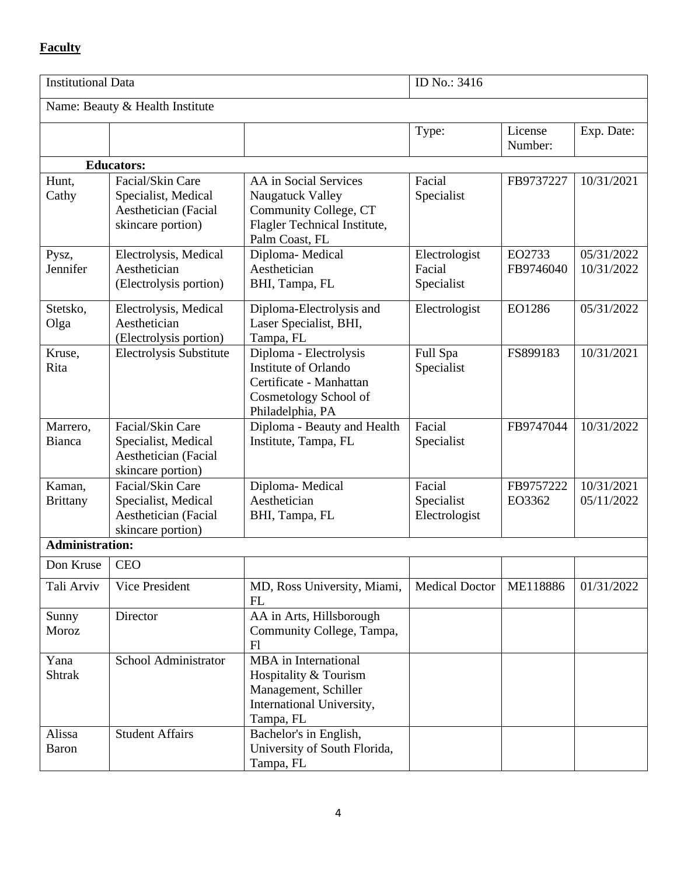# **Faculty**

|                           | <b>Institutional Data</b>                                                            |                                                                                                                        | ID No.: 3416                          |                     |                          |
|---------------------------|--------------------------------------------------------------------------------------|------------------------------------------------------------------------------------------------------------------------|---------------------------------------|---------------------|--------------------------|
|                           | Name: Beauty & Health Institute                                                      |                                                                                                                        |                                       |                     |                          |
|                           |                                                                                      |                                                                                                                        | Type:                                 | License<br>Number:  | Exp. Date:               |
|                           | <b>Educators:</b>                                                                    |                                                                                                                        |                                       |                     |                          |
| Hunt,<br>Cathy            | Facial/Skin Care<br>Specialist, Medical<br>Aesthetician (Facial<br>skincare portion) | AA in Social Services<br>Naugatuck Valley<br>Community College, CT<br>Flagler Technical Institute,<br>Palm Coast, FL   | Facial<br>Specialist                  | FB9737227           | 10/31/2021               |
| Pysz,<br>Jennifer         | Electrolysis, Medical<br>Aesthetician<br>(Electrolysis portion)                      | Diploma-Medical<br>Aesthetician<br>BHI, Tampa, FL                                                                      | Electrologist<br>Facial<br>Specialist | EO2733<br>FB9746040 | 05/31/2022<br>10/31/2022 |
| Stetsko,<br>Olga          | Electrolysis, Medical<br>Aesthetician<br>(Electrolysis portion)                      | Diploma-Electrolysis and<br>Laser Specialist, BHI,<br>Tampa, FL                                                        | Electrologist                         | EO1286              | 05/31/2022               |
| Kruse,<br>Rita            | <b>Electrolysis Substitute</b>                                                       | Diploma - Electrolysis<br>Institute of Orlando<br>Certificate - Manhattan<br>Cosmetology School of<br>Philadelphia, PA | Full Spa<br>Specialist                | FS899183            | 10/31/2021               |
| Marrero,<br>Bianca        | Facial/Skin Care<br>Specialist, Medical<br>Aesthetician (Facial<br>skincare portion) | Diploma - Beauty and Health<br>Institute, Tampa, FL                                                                    | Facial<br>Specialist                  | FB9747044           | 10/31/2022               |
| Kaman,<br><b>Brittany</b> | Facial/Skin Care<br>Specialist, Medical<br>Aesthetician (Facial<br>skincare portion) | Diploma-Medical<br>Aesthetician<br>BHI, Tampa, FL                                                                      | Facial<br>Specialist<br>Electrologist | FB9757222<br>EO3362 | 10/31/2021<br>05/11/2022 |
| <b>Administration:</b>    |                                                                                      |                                                                                                                        |                                       |                     |                          |
| Don Kruse   CEO           |                                                                                      |                                                                                                                        |                                       |                     |                          |
| Tali Arviv                | Vice President                                                                       | MD, Ross University, Miami,<br>FL                                                                                      | <b>Medical Doctor</b>                 | ME118886            | 01/31/2022               |
| Sunny<br>Moroz            | Director                                                                             | AA in Arts, Hillsborough<br>Community College, Tampa,<br>F1                                                            |                                       |                     |                          |
| Yana<br><b>Shtrak</b>     | School Administrator                                                                 | MBA in International<br>Hospitality & Tourism<br>Management, Schiller<br>International University,<br>Tampa, FL        |                                       |                     |                          |
| Alissa<br><b>Baron</b>    | <b>Student Affairs</b>                                                               | Bachelor's in English,<br>University of South Florida,<br>Tampa, FL                                                    |                                       |                     |                          |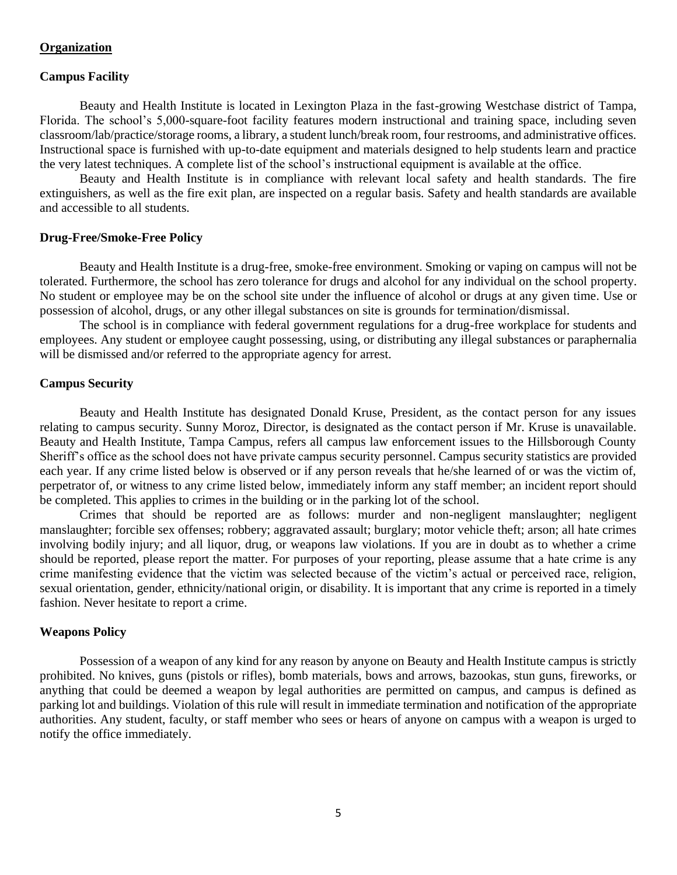#### **Organization**

#### **Campus Facility**

Beauty and Health Institute is located in Lexington Plaza in the fast-growing Westchase district of Tampa, Florida. The school's 5,000-square-foot facility features modern instructional and training space, including seven classroom/lab/practice/storage rooms, a library, a student lunch/break room, four restrooms, and administrative offices. Instructional space is furnished with up-to-date equipment and materials designed to help students learn and practice the very latest techniques. A complete list of the school's instructional equipment is available at the office.

Beauty and Health Institute is in compliance with relevant local safety and health standards. The fire extinguishers, as well as the fire exit plan, are inspected on a regular basis. Safety and health standards are available and accessible to all students.

#### **Drug-Free/Smoke-Free Policy**

Beauty and Health Institute is a drug-free, smoke-free environment. Smoking or vaping on campus will not be tolerated. Furthermore, the school has zero tolerance for drugs and alcohol for any individual on the school property. No student or employee may be on the school site under the influence of alcohol or drugs at any given time. Use or possession of alcohol, drugs, or any other illegal substances on site is grounds for termination/dismissal.

The school is in compliance with federal government regulations for a drug-free workplace for students and employees. Any student or employee caught possessing, using, or distributing any illegal substances or paraphernalia will be dismissed and/or referred to the appropriate agency for arrest.

#### **Campus Security**

Beauty and Health Institute has designated Donald Kruse, President, as the contact person for any issues relating to campus security. Sunny Moroz, Director, is designated as the contact person if Mr. Kruse is unavailable. Beauty and Health Institute, Tampa Campus, refers all campus law enforcement issues to the Hillsborough County Sheriff's office as the school does not have private campus security personnel. Campus security statistics are provided each year. If any crime listed below is observed or if any person reveals that he/she learned of or was the victim of, perpetrator of, or witness to any crime listed below, immediately inform any staff member; an incident report should be completed. This applies to crimes in the building or in the parking lot of the school.

Crimes that should be reported are as follows: murder and non-negligent manslaughter; negligent manslaughter; forcible sex offenses; robbery; aggravated assault; burglary; motor vehicle theft; arson; all hate crimes involving bodily injury; and all liquor, drug, or weapons law violations. If you are in doubt as to whether a crime should be reported, please report the matter. For purposes of your reporting, please assume that a hate crime is any crime manifesting evidence that the victim was selected because of the victim's actual or perceived race, religion, sexual orientation, gender, ethnicity/national origin, or disability. It is important that any crime is reported in a timely fashion. Never hesitate to report a crime.

#### **Weapons Policy**

Possession of a weapon of any kind for any reason by anyone on Beauty and Health Institute campus is strictly prohibited. No knives, guns (pistols or rifles), bomb materials, bows and arrows, bazookas, stun guns, fireworks, or anything that could be deemed a weapon by legal authorities are permitted on campus, and campus is defined as parking lot and buildings. Violation of this rule will result in immediate termination and notification of the appropriate authorities. Any student, faculty, or staff member who sees or hears of anyone on campus with a weapon is urged to notify the office immediately.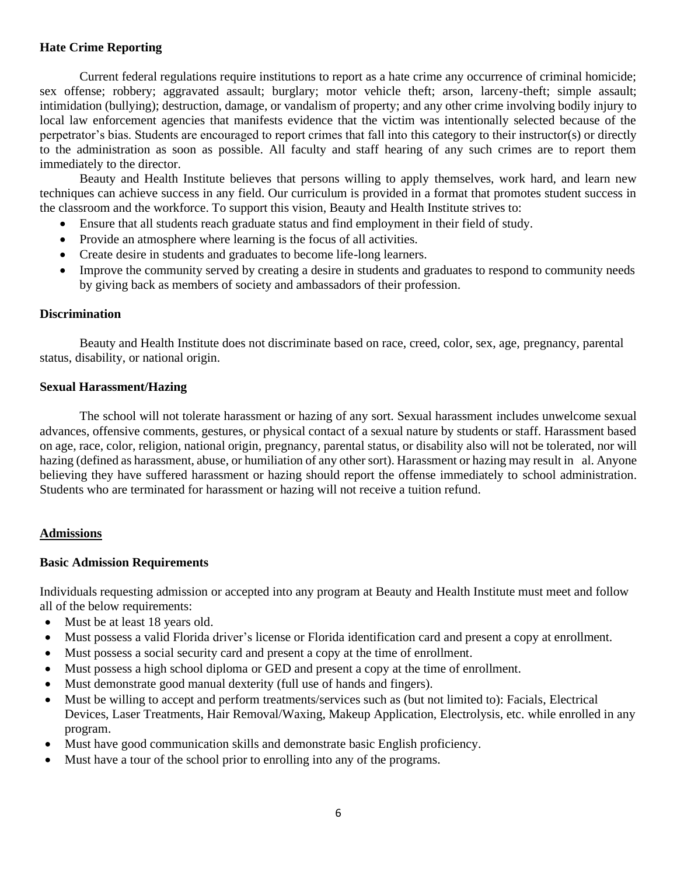# **Hate Crime Reporting**

Current federal regulations require institutions to report as a hate crime any occurrence of criminal homicide; sex offense; robbery; aggravated assault; burglary; motor vehicle theft; arson, larceny-theft; simple assault; intimidation (bullying); destruction, damage, or vandalism of property; and any other crime involving bodily injury to local law enforcement agencies that manifests evidence that the victim was intentionally selected because of the perpetrator's bias. Students are encouraged to report crimes that fall into this category to their instructor(s) or directly to the administration as soon as possible. All faculty and staff hearing of any such crimes are to report them immediately to the director.

Beauty and Health Institute believes that persons willing to apply themselves, work hard, and learn new techniques can achieve success in any field. Our curriculum is provided in a format that promotes student success in the classroom and the workforce. To support this vision, Beauty and Health Institute strives to:

- Ensure that all students reach graduate status and find employment in their field of study.
- Provide an atmosphere where learning is the focus of all activities.
- Create desire in students and graduates to become life-long learners.
- Improve the community served by creating a desire in students and graduates to respond to community needs by giving back as members of society and ambassadors of their profession.

## **Discrimination**

Beauty and Health Institute does not discriminate based on race, creed, color, sex, age, pregnancy, parental status, disability, or national origin.

## **Sexual Harassment/Hazing**

The school will not tolerate harassment or hazing of any sort. Sexual harassment includes unwelcome sexual advances, offensive comments, gestures, or physical contact of a sexual nature by students or staff. Harassment based on age, race, color, religion, national origin, pregnancy, parental status, or disability also will not be tolerated, nor will hazing (defined as harassment, abuse, or humiliation of any other sort). Harassment or hazing may result in al. Anyone believing they have suffered harassment or hazing should report the offense immediately to school administration. Students who are terminated for harassment or hazing will not receive a tuition refund.

# **Admissions**

# **Basic Admission Requirements**

Individuals requesting admission or accepted into any program at Beauty and Health Institute must meet and follow all of the below requirements:

- Must be at least 18 years old.
- Must possess a valid Florida driver's license or Florida identification card and present a copy at enrollment.
- Must possess a social security card and present a copy at the time of enrollment.
- Must possess a high school diploma or GED and present a copy at the time of enrollment.
- Must demonstrate good manual dexterity (full use of hands and fingers).
- Must be willing to accept and perform treatments/services such as (but not limited to): Facials, Electrical Devices, Laser Treatments, Hair Removal/Waxing, Makeup Application, Electrolysis, etc. while enrolled in any program.
- Must have good communication skills and demonstrate basic English proficiency.
- Must have a tour of the school prior to enrolling into any of the programs.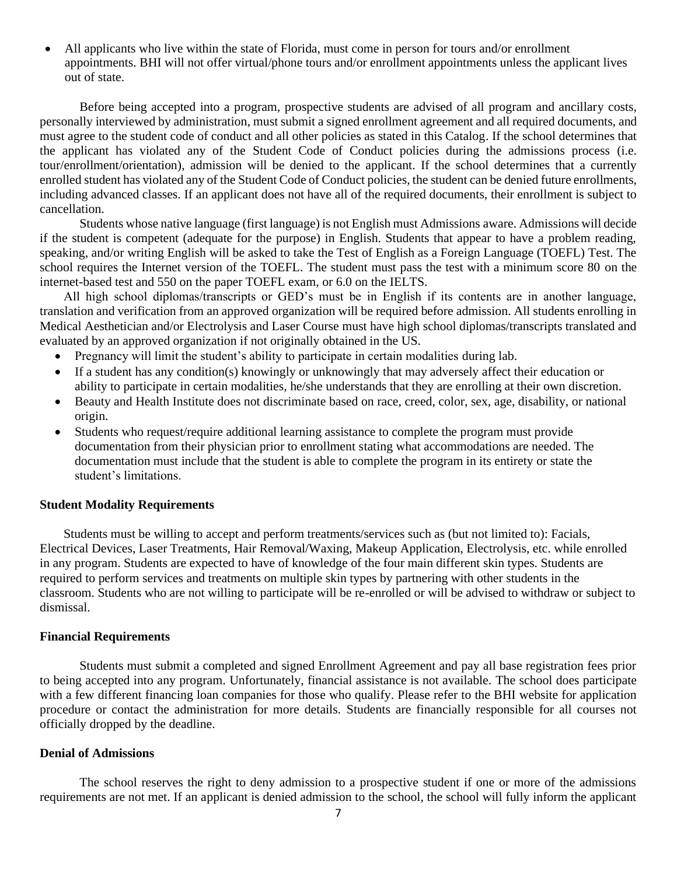• All applicants who live within the state of Florida, must come in person for tours and/or enrollment appointments. BHI will not offer virtual/phone tours and/or enrollment appointments unless the applicant lives out of state.

Before being accepted into a program, prospective students are advised of all program and ancillary costs, personally interviewed by administration, must submit a signed enrollment agreement and all required documents, and must agree to the student code of conduct and all other policies as stated in this Catalog. If the school determines that the applicant has violated any of the Student Code of Conduct policies during the admissions process (i.e. tour/enrollment/orientation), admission will be denied to the applicant. If the school determines that a currently enrolled student has violated any of the Student Code of Conduct policies, the student can be denied future enrollments, including advanced classes. If an applicant does not have all of the required documents, their enrollment is subject to cancellation.

Students whose native language (first language) is not English must Admissions aware. Admissions will decide if the student is competent (adequate for the purpose) in English. Students that appear to have a problem reading, speaking, and/or writing English will be asked to take the Test of English as a Foreign Language (TOEFL) Test. The school requires the Internet version of the TOEFL. The student must pass the test with a minimum score 80 on the internet-based test and 550 on the paper TOEFL exam, or 6.0 on the IELTS.

All high school diplomas/transcripts or GED's must be in English if its contents are in another language, translation and verification from an approved organization will be required before admission. All students enrolling in Medical Aesthetician and/or Electrolysis and Laser Course must have high school diplomas/transcripts translated and evaluated by an approved organization if not originally obtained in the US.

- Pregnancy will limit the student's ability to participate in certain modalities during lab.
- If a student has any condition(s) knowingly or unknowingly that may adversely affect their education or ability to participate in certain modalities, he/she understands that they are enrolling at their own discretion.
- Beauty and Health Institute does not discriminate based on race, creed, color, sex, age, disability, or national origin.
- Students who request/require additional learning assistance to complete the program must provide documentation from their physician prior to enrollment stating what accommodations are needed. The documentation must include that the student is able to complete the program in its entirety or state the student's limitations.

#### **Student Modality Requirements**

Students must be willing to accept and perform treatments/services such as (but not limited to): Facials, Electrical Devices, Laser Treatments, Hair Removal/Waxing, Makeup Application, Electrolysis, etc. while enrolled in any program. Students are expected to have of knowledge of the four main different skin types. Students are required to perform services and treatments on multiple skin types by partnering with other students in the classroom. Students who are not willing to participate will be re-enrolled or will be advised to withdraw or subject to dismissal.

#### **Financial Requirements**

Students must submit a completed and signed Enrollment Agreement and pay all base registration fees prior to being accepted into any program. Unfortunately, financial assistance is not available. The school does participate with a few different financing loan companies for those who qualify. Please refer to the BHI website for application procedure or contact the administration for more details. Students are financially responsible for all courses not officially dropped by the deadline.

#### **Denial of Admissions**

The school reserves the right to deny admission to a prospective student if one or more of the admissions requirements are not met. If an applicant is denied admission to the school, the school will fully inform the applicant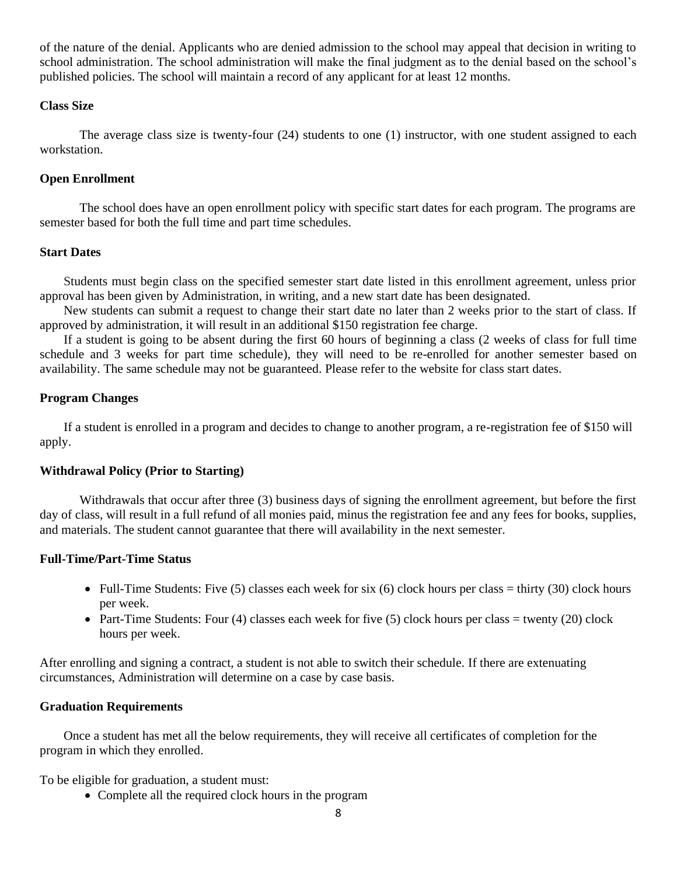of the nature of the denial. Applicants who are denied admission to the school may appeal that decision in writing to school administration. The school administration will make the final judgment as to the denial based on the school's published policies. The school will maintain a record of any applicant for at least 12 months.

# **Class Size**

The average class size is twenty-four (24) students to one (1) instructor, with one student assigned to each workstation.

## **Open Enrollment**

The school does have an open enrollment policy with specific start dates for each program. The programs are semester based for both the full time and part time schedules.

## **Start Dates**

Students must begin class on the specified semester start date listed in this enrollment agreement, unless prior approval has been given by Administration, in writing, and a new start date has been designated.

New students can submit a request to change their start date no later than 2 weeks prior to the start of class. If approved by administration, it will result in an additional \$150 registration fee charge.

If a student is going to be absent during the first 60 hours of beginning a class (2 weeks of class for full time schedule and 3 weeks for part time schedule), they will need to be re-enrolled for another semester based on availability. The same schedule may not be guaranteed. Please refer to the website for class start dates.

## **Program Changes**

If a student is enrolled in a program and decides to change to another program, a re-registration fee of \$150 will apply.

## **Withdrawal Policy (Prior to Starting)**

Withdrawals that occur after three (3) business days of signing the enrollment agreement, but before the first day of class, will result in a full refund of all monies paid, minus the registration fee and any fees for books, supplies, and materials. The student cannot guarantee that there will availability in the next semester.

#### **Full-Time/Part-Time Status**

- Full-Time Students: Five (5) classes each week for six (6) clock hours per class = thirty (30) clock hours per week.
- Part-Time Students: Four (4) classes each week for five (5) clock hours per class = twenty (20) clock hours per week.

After enrolling and signing a contract, a student is not able to switch their schedule. If there are extenuating circumstances, Administration will determine on a case by case basis.

#### **Graduation Requirements**

Once a student has met all the below requirements, they will receive all certificates of completion for the program in which they enrolled.

To be eligible for graduation, a student must:

• Complete all the required clock hours in the program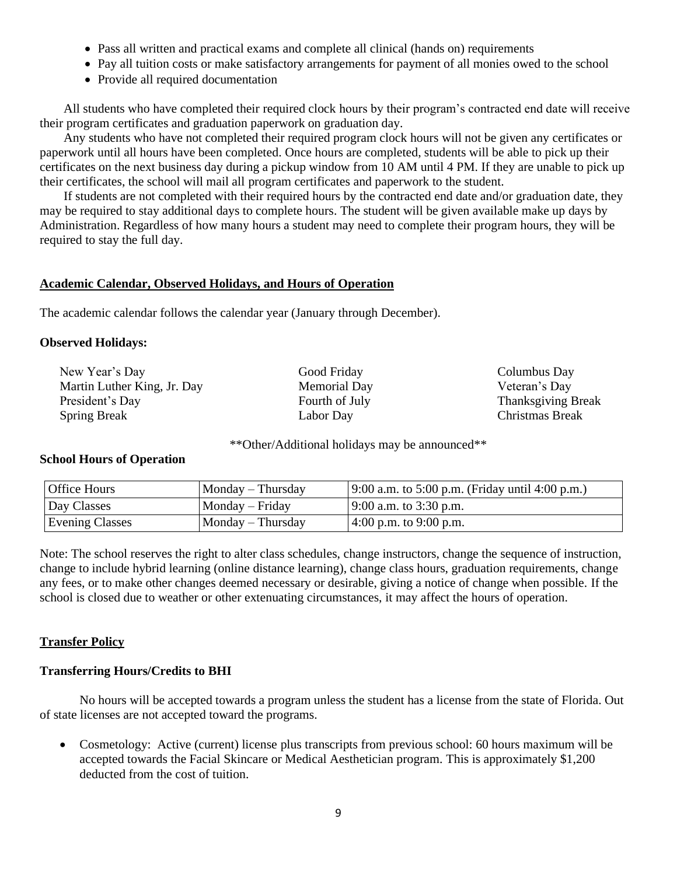- Pass all written and practical exams and complete all clinical (hands on) requirements
- Pay all tuition costs or make satisfactory arrangements for payment of all monies owed to the school
- Provide all required documentation

All students who have completed their required clock hours by their program's contracted end date will receive their program certificates and graduation paperwork on graduation day.

Any students who have not completed their required program clock hours will not be given any certificates or paperwork until all hours have been completed. Once hours are completed, students will be able to pick up their certificates on the next business day during a pickup window from 10 AM until 4 PM. If they are unable to pick up their certificates, the school will mail all program certificates and paperwork to the student.

If students are not completed with their required hours by the contracted end date and/or graduation date, they may be required to stay additional days to complete hours. The student will be given available make up days by Administration. Regardless of how many hours a student may need to complete their program hours, they will be required to stay the full day.

# **Academic Calendar, Observed Holidays, and Hours of Operation**

The academic calendar follows the calendar year (January through December).

# **Observed Holidays:**

New Year's Day Martin Luther King, Jr. Day President's Day Spring Break

Good Friday Memorial Day Fourth of July Labor Day

Columbus Day Veteran's Day Thanksgiving Break Christmas Break

\*\*Other/Additional holidays may be announced\*\*

# **School Hours of Operation**

| <b>Office Hours</b>    | $Monday$ – Thursday | $(9:00 a.m. to 5:00 p.m. (Friday until 4:00 p.m.)$ |
|------------------------|---------------------|----------------------------------------------------|
| Day Classes            | $Monday - Friday$   | $9:00$ a.m. to 3:30 p.m.                           |
| <b>Evening Classes</b> | $Monday$ – Thursday | $(4:00 \text{ p.m. to } 9:00 \text{ p.m.})$        |

Note: The school reserves the right to alter class schedules, change instructors, change the sequence of instruction, change to include hybrid learning (online distance learning), change class hours, graduation requirements, change any fees, or to make other changes deemed necessary or desirable, giving a notice of change when possible. If the school is closed due to weather or other extenuating circumstances, it may affect the hours of operation.

# **Transfer Policy**

# **Transferring Hours/Credits to BHI**

No hours will be accepted towards a program unless the student has a license from the state of Florida. Out of state licenses are not accepted toward the programs.

• Cosmetology: Active (current) license plus transcripts from previous school: 60 hours maximum will be accepted towards the Facial Skincare or Medical Aesthetician program. This is approximately \$1,200 deducted from the cost of tuition.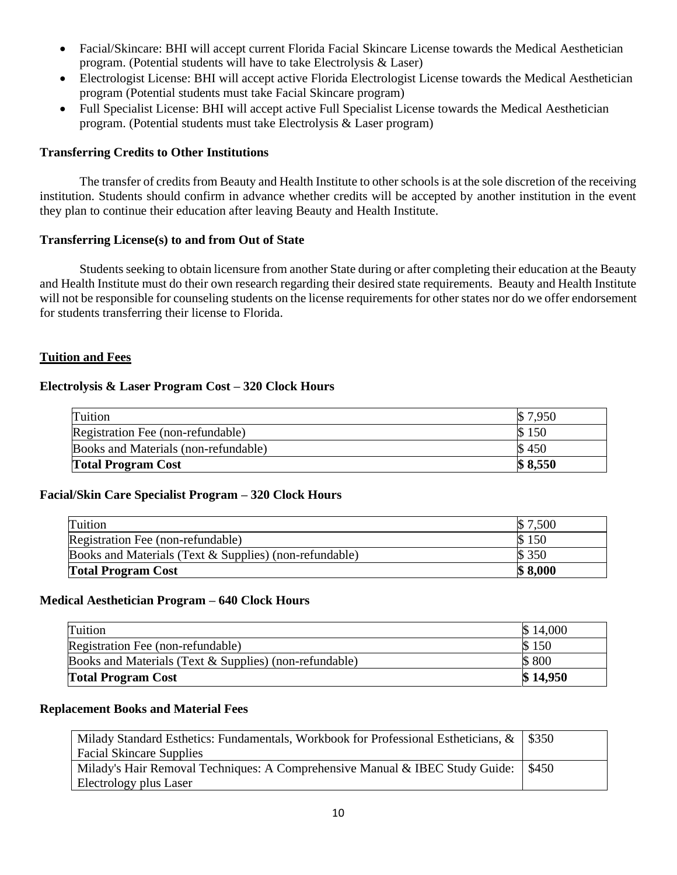- Facial/Skincare: BHI will accept current Florida Facial Skincare License towards the Medical Aesthetician program. (Potential students will have to take Electrolysis & Laser)
- Electrologist License: BHI will accept active Florida Electrologist License towards the Medical Aesthetician program (Potential students must take Facial Skincare program)
- Full Specialist License: BHI will accept active Full Specialist License towards the Medical Aesthetician program. (Potential students must take Electrolysis & Laser program)

## **Transferring Credits to Other Institutions**

The transfer of credits from Beauty and Health Institute to other schools is at the sole discretion of the receiving institution. Students should confirm in advance whether credits will be accepted by another institution in the event they plan to continue their education after leaving Beauty and Health Institute.

## **Transferring License(s) to and from Out of State**

Students seeking to obtain licensure from another State during or after completing their education at the Beauty and Health Institute must do their own research regarding their desired state requirements. Beauty and Health Institute will not be responsible for counseling students on the license requirements for other states nor do we offer endorsement for students transferring their license to Florida.

## **Tuition and Fees**

## **Electrolysis & Laser Program Cost – 320 Clock Hours**

| Tuition                              | $\$\,7.950$ |
|--------------------------------------|-------------|
| Registration Fee (non-refundable)    | 150         |
| Books and Materials (non-refundable) | 450         |
| <b>Total Program Cost</b>            | \$8,550     |

# **Facial/Skin Care Specialist Program – 320 Clock Hours**

| Tuition                                                | ,500    |
|--------------------------------------------------------|---------|
| Registration Fee (non-refundable)                      | 150     |
| Books and Materials (Text & Supplies) (non-refundable) | \$350   |
| <b>Total Program Cost</b>                              | \$8,000 |

## **Medical Aesthetician Program – 640 Clock Hours**

| Tuition                                                | \$14,000 |
|--------------------------------------------------------|----------|
| Registration Fee (non-refundable)                      | \$150    |
| Books and Materials (Text & Supplies) (non-refundable) | \$800    |
| <b>Total Program Cost</b>                              | \$14,950 |

## **Replacement Books and Material Fees**

| Milady Standard Esthetics: Fundamentals, Workbook for Professional Estheticians, $\&$   \$350 |               |
|-----------------------------------------------------------------------------------------------|---------------|
| <b>Facial Skincare Supplies</b>                                                               |               |
| Milady's Hair Removal Techniques: A Comprehensive Manual & IBEC Study Guide:                  | $\frac{$450}$ |
| Electrology plus Laser                                                                        |               |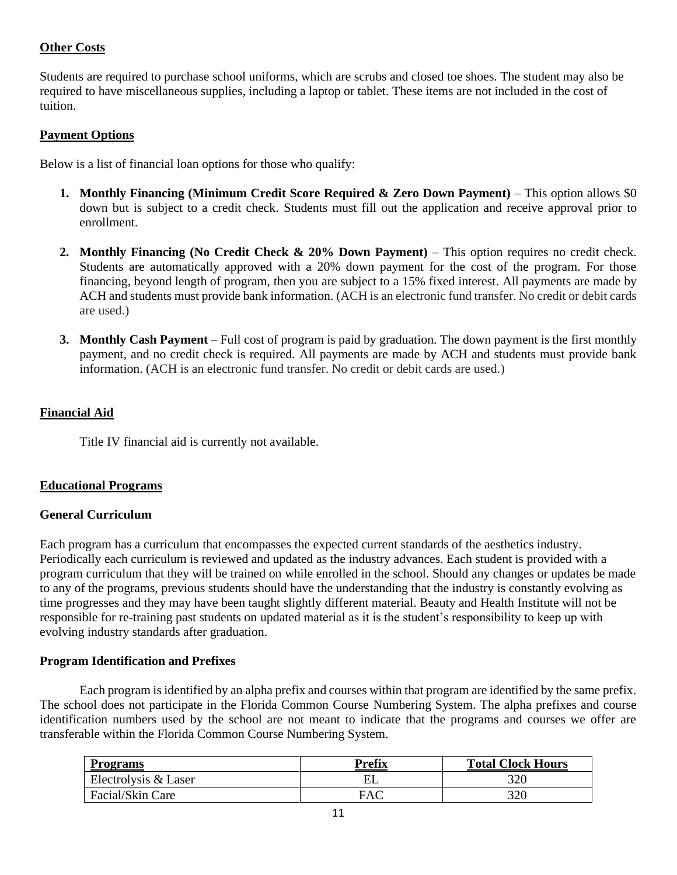# **Other Costs**

Students are required to purchase school uniforms, which are scrubs and closed toe shoes. The student may also be required to have miscellaneous supplies, including a laptop or tablet. These items are not included in the cost of tuition.

## **Payment Options**

Below is a list of financial loan options for those who qualify:

- **1. Monthly Financing (Minimum Credit Score Required & Zero Down Payment)** This option allows \$0 down but is subject to a credit check. Students must fill out the application and receive approval prior to enrollment.
- **2. Monthly Financing (No Credit Check & 20% Down Payment)** This option requires no credit check. Students are automatically approved with a 20% down payment for the cost of the program. For those financing, beyond length of program, then you are subject to a 15% fixed interest. All payments are made by ACH and students must provide bank information. (ACH is an electronic fund transfer. No credit or debit cards are used.)
- **3. Monthly Cash Payment** Full cost of program is paid by graduation. The down payment is the first monthly payment, and no credit check is required. All payments are made by ACH and students must provide bank information. (ACH is an electronic fund transfer. No credit or debit cards are used.)

# **Financial Aid**

Title IV financial aid is currently not available.

# **Educational Programs**

## **General Curriculum**

Each program has a curriculum that encompasses the expected current standards of the aesthetics industry. Periodically each curriculum is reviewed and updated as the industry advances. Each student is provided with a program curriculum that they will be trained on while enrolled in the school. Should any changes or updates be made to any of the programs, previous students should have the understanding that the industry is constantly evolving as time progresses and they may have been taught slightly different material. Beauty and Health Institute will not be responsible for re-training past students on updated material as it is the student's responsibility to keep up with evolving industry standards after graduation.

## **Program Identification and Prefixes**

Each program is identified by an alpha prefix and courses within that program are identified by the same prefix. The school does not participate in the Florida Common Course Numbering System. The alpha prefixes and course identification numbers used by the school are not meant to indicate that the programs and courses we offer are transferable within the Florida Common Course Numbering System.

| <b>Programs</b>      | <b>Prefix</b> | <b>Total Clock Hours</b> |
|----------------------|---------------|--------------------------|
| Electrolysis & Laser | EL            | 320                      |
| Facial/Skin Care     | FAC           | 320                      |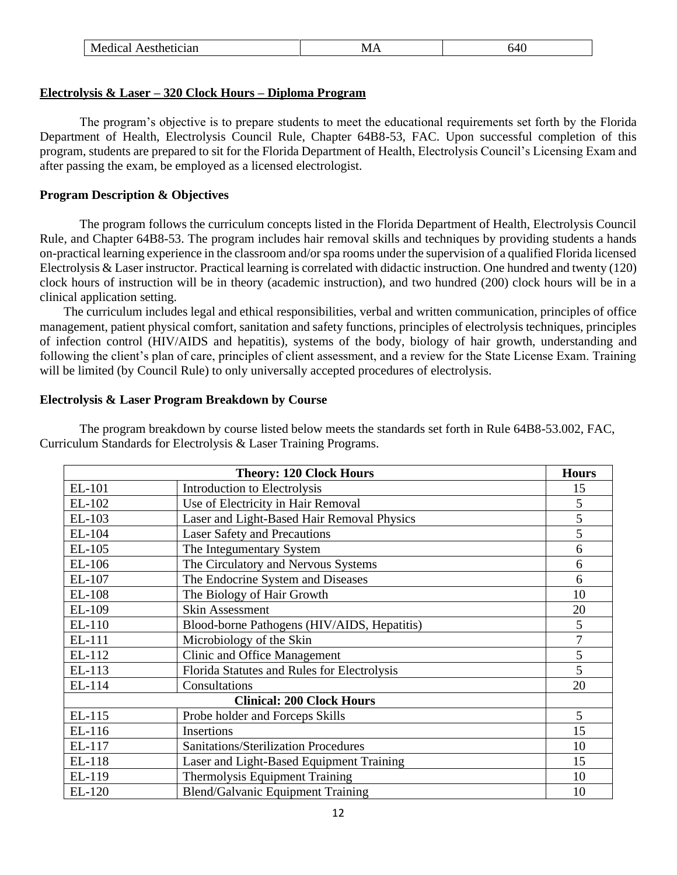| Medical<br>Aesthetician<br>- 71<br>v<br>LVJZ A<br>ີ່ |
|------------------------------------------------------|
|------------------------------------------------------|

## **Electrolysis & Laser – 320 Clock Hours – Diploma Program**

The program's objective is to prepare students to meet the educational requirements set forth by the Florida Department of Health, Electrolysis Council Rule, Chapter 64B8-53, FAC. Upon successful completion of this program, students are prepared to sit for the Florida Department of Health, Electrolysis Council's Licensing Exam and after passing the exam, be employed as a licensed electrologist.

## **Program Description & Objectives**

The program follows the curriculum concepts listed in the Florida Department of Health, Electrolysis Council Rule, and Chapter 64B8-53. The program includes hair removal skills and techniques by providing students a hands on-practical learning experience in the classroom and/or spa rooms under the supervision of a qualified Florida licensed Electrolysis & Laser instructor. Practical learning is correlated with didactic instruction. One hundred and twenty (120) clock hours of instruction will be in theory (academic instruction), and two hundred (200) clock hours will be in a clinical application setting.

The curriculum includes legal and ethical responsibilities, verbal and written communication, principles of office management, patient physical comfort, sanitation and safety functions, principles of electrolysis techniques, principles of infection control (HIV/AIDS and hepatitis), systems of the body, biology of hair growth, understanding and following the client's plan of care, principles of client assessment, and a review for the State License Exam. Training will be limited (by Council Rule) to only universally accepted procedures of electrolysis.

## **Electrolysis & Laser Program Breakdown by Course**

The program breakdown by course listed below meets the standards set forth in Rule 64B8-53.002, FAC, Curriculum Standards for Electrolysis & Laser Training Programs.

|                                  | <b>Theory: 120 Clock Hours</b>              | <b>Hours</b>   |
|----------------------------------|---------------------------------------------|----------------|
| EL-101                           | <b>Introduction to Electrolysis</b>         | 15             |
| EL-102                           | Use of Electricity in Hair Removal          | 5              |
| EL-103                           | Laser and Light-Based Hair Removal Physics  | 5              |
| EL-104                           | <b>Laser Safety and Precautions</b>         | 5              |
| EL-105                           | The Integumentary System                    | 6              |
| EL-106                           | The Circulatory and Nervous Systems         | 6              |
| EL-107                           | The Endocrine System and Diseases           | 6              |
| EL-108                           | The Biology of Hair Growth                  | 10             |
| EL-109                           | <b>Skin Assessment</b>                      | 20             |
| EL-110                           | Blood-borne Pathogens (HIV/AIDS, Hepatitis) | 5              |
| EL-111                           | Microbiology of the Skin                    | $\overline{7}$ |
| EL-112                           | Clinic and Office Management                | 5              |
| EL-113                           | Florida Statutes and Rules for Electrolysis | 5              |
| EL-114                           | Consultations                               | 20             |
| <b>Clinical: 200 Clock Hours</b> |                                             |                |
| EL-115                           | Probe holder and Forceps Skills             | 5              |
| EL-116                           | Insertions                                  | 15             |
| EL-117                           | Sanitations/Sterilization Procedures        | 10             |
| EL-118                           | Laser and Light-Based Equipment Training    | 15             |
| EL-119                           | Thermolysis Equipment Training              | 10             |
| EL-120                           | <b>Blend/Galvanic Equipment Training</b>    | 10             |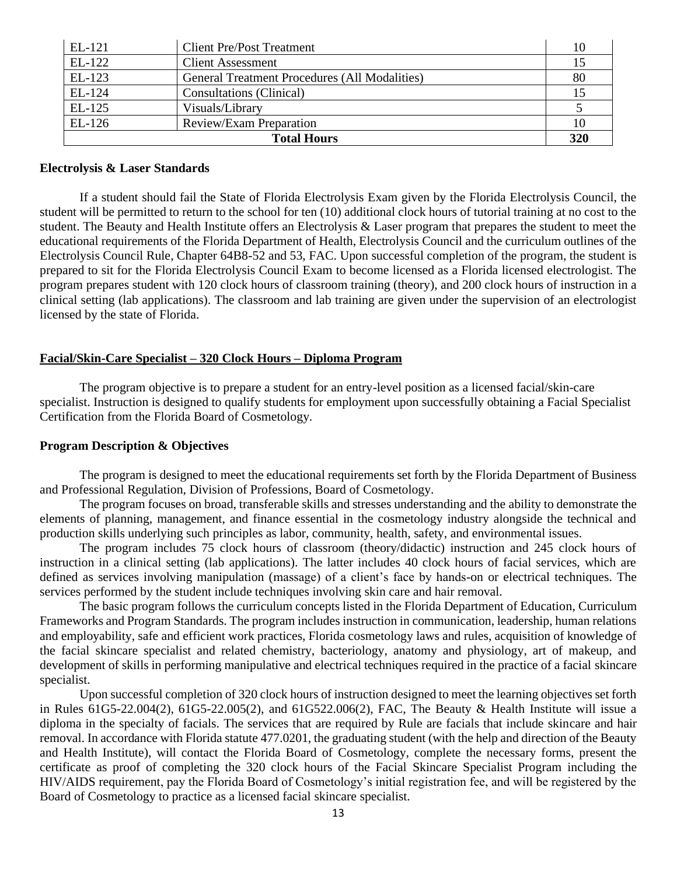| EL-121             | <b>Client Pre/Post Treatment</b>                     | 10  |
|--------------------|------------------------------------------------------|-----|
| EL-122             | <b>Client Assessment</b>                             | 15  |
| EL-123             | <b>General Treatment Procedures (All Modalities)</b> | 80  |
| EL-124             | Consultations (Clinical)                             | 15  |
| EL-125             | Visuals/Library                                      |     |
| $EL-126$           | Review/Exam Preparation                              | 10  |
| <b>Total Hours</b> |                                                      | 320 |

#### **Electrolysis & Laser Standards**

If a student should fail the State of Florida Electrolysis Exam given by the Florida Electrolysis Council, the student will be permitted to return to the school for ten (10) additional clock hours of tutorial training at no cost to the student. The Beauty and Health Institute offers an Electrolysis & Laser program that prepares the student to meet the educational requirements of the Florida Department of Health, Electrolysis Council and the curriculum outlines of the Electrolysis Council Rule, Chapter 64B8-52 and 53, FAC. Upon successful completion of the program, the student is prepared to sit for the Florida Electrolysis Council Exam to become licensed as a Florida licensed electrologist. The program prepares student with 120 clock hours of classroom training (theory), and 200 clock hours of instruction in a clinical setting (lab applications). The classroom and lab training are given under the supervision of an electrologist licensed by the state of Florida.

## **Facial/Skin-Care Specialist – 320 Clock Hours – Diploma Program**

The program objective is to prepare a student for an entry-level position as a licensed facial/skin-care specialist. Instruction is designed to qualify students for employment upon successfully obtaining a Facial Specialist Certification from the Florida Board of Cosmetology.

#### **Program Description & Objectives**

The program is designed to meet the educational requirements set forth by the Florida Department of Business and Professional Regulation, Division of Professions, Board of Cosmetology.

The program focuses on broad, transferable skills and stresses understanding and the ability to demonstrate the elements of planning, management, and finance essential in the cosmetology industry alongside the technical and production skills underlying such principles as labor, community, health, safety, and environmental issues.

The program includes 75 clock hours of classroom (theory/didactic) instruction and 245 clock hours of instruction in a clinical setting (lab applications). The latter includes 40 clock hours of facial services, which are defined as services involving manipulation (massage) of a client's face by hands-on or electrical techniques. The services performed by the student include techniques involving skin care and hair removal.

The basic program follows the curriculum concepts listed in the Florida Department of Education, Curriculum Frameworks and Program Standards. The program includes instruction in communication, leadership, human relations and employability, safe and efficient work practices, Florida cosmetology laws and rules, acquisition of knowledge of the facial skincare specialist and related chemistry, bacteriology, anatomy and physiology, art of makeup, and development of skills in performing manipulative and electrical techniques required in the practice of a facial skincare specialist.

Upon successful completion of 320 clock hours of instruction designed to meet the learning objectives set forth in Rules 61G5-22.004(2), 61G5-22.005(2), and 61G522.006(2), FAC, The Beauty & Health Institute will issue a diploma in the specialty of facials. The services that are required by Rule are facials that include skincare and hair removal. In accordance with Florida statute 477.0201, the graduating student (with the help and direction of the Beauty and Health Institute), will contact the Florida Board of Cosmetology, complete the necessary forms, present the certificate as proof of completing the 320 clock hours of the Facial Skincare Specialist Program including the HIV/AIDS requirement, pay the Florida Board of Cosmetology's initial registration fee, and will be registered by the Board of Cosmetology to practice as a licensed facial skincare specialist.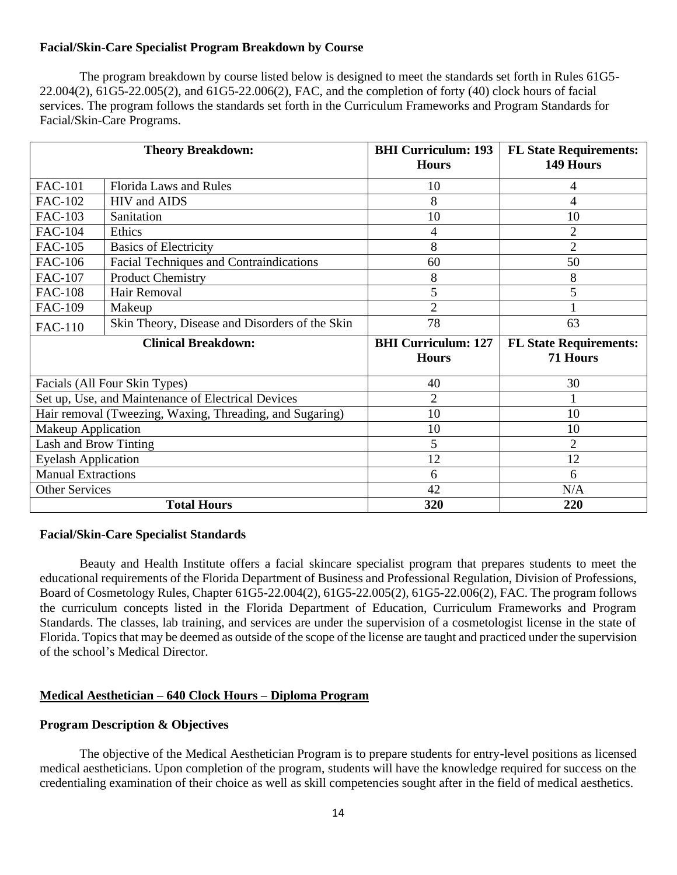# **Facial/Skin-Care Specialist Program Breakdown by Course**

The program breakdown by course listed below is designed to meet the standards set forth in Rules 61G5- 22.004(2), 61G5-22.005(2), and 61G5-22.006(2), FAC, and the completion of forty (40) clock hours of facial services. The program follows the standards set forth in the Curriculum Frameworks and Program Standards for Facial/Skin-Care Programs.

|                               | <b>Theory Breakdown:</b>                                 | <b>BHI Curriculum: 193</b><br><b>Hours</b> | <b>FL State Requirements:</b><br>149 Hours |
|-------------------------------|----------------------------------------------------------|--------------------------------------------|--------------------------------------------|
| <b>FAC-101</b>                | <b>Florida Laws and Rules</b>                            | 10                                         | 4                                          |
| <b>FAC-102</b>                | HIV and AIDS                                             | 8                                          | 4                                          |
| <b>FAC-103</b>                | Sanitation                                               | 10                                         | 10                                         |
| <b>FAC-104</b>                | Ethics                                                   | 4                                          | $\overline{2}$                             |
| <b>FAC-105</b>                | <b>Basics of Electricity</b>                             | 8                                          | $\overline{2}$                             |
| <b>FAC-106</b>                | Facial Techniques and Contraindications                  | 60                                         | 50                                         |
| FAC-107                       | <b>Product Chemistry</b>                                 | 8                                          | 8                                          |
| <b>FAC-108</b>                | Hair Removal                                             | 5                                          | 5                                          |
| <b>FAC-109</b>                | Makeup                                                   | $\overline{2}$                             |                                            |
| <b>FAC-110</b>                | Skin Theory, Disease and Disorders of the Skin           | 78                                         | 63                                         |
| <b>Clinical Breakdown:</b>    |                                                          | <b>BHI</b> Curriculum: 127                 | <b>FL State Requirements:</b>              |
|                               |                                                          | <b>Hours</b>                               | <b>71 Hours</b>                            |
| Facials (All Four Skin Types) |                                                          | 40                                         | 30                                         |
|                               | Set up, Use, and Maintenance of Electrical Devices       | $\overline{2}$                             |                                            |
|                               | Hair removal (Tweezing, Waxing, Threading, and Sugaring) | 10                                         | 10                                         |
| <b>Makeup Application</b>     |                                                          | 10                                         | 10                                         |
| Lash and Brow Tinting         |                                                          | 5                                          | $\overline{2}$                             |
| <b>Eyelash Application</b>    |                                                          | 12                                         | 12                                         |
| <b>Manual Extractions</b>     |                                                          | 6                                          | 6                                          |
| <b>Other Services</b>         |                                                          | 42                                         | N/A                                        |
|                               | <b>Total Hours</b>                                       | 320                                        | 220                                        |

#### **Facial/Skin-Care Specialist Standards**

Beauty and Health Institute offers a facial skincare specialist program that prepares students to meet the educational requirements of the Florida Department of Business and Professional Regulation, Division of Professions, Board of Cosmetology Rules, Chapter 61G5-22.004(2), 61G5-22.005(2), 61G5-22.006(2), FAC. The program follows the curriculum concepts listed in the Florida Department of Education, Curriculum Frameworks and Program Standards. The classes, lab training, and services are under the supervision of a cosmetologist license in the state of Florida. Topics that may be deemed as outside of the scope of the license are taught and practiced under the supervision of the school's Medical Director.

## **Medical Aesthetician – 640 Clock Hours – Diploma Program**

## **Program Description & Objectives**

The objective of the Medical Aesthetician Program is to prepare students for entry-level positions as licensed medical aestheticians. Upon completion of the program, students will have the knowledge required for success on the credentialing examination of their choice as well as skill competencies sought after in the field of medical aesthetics.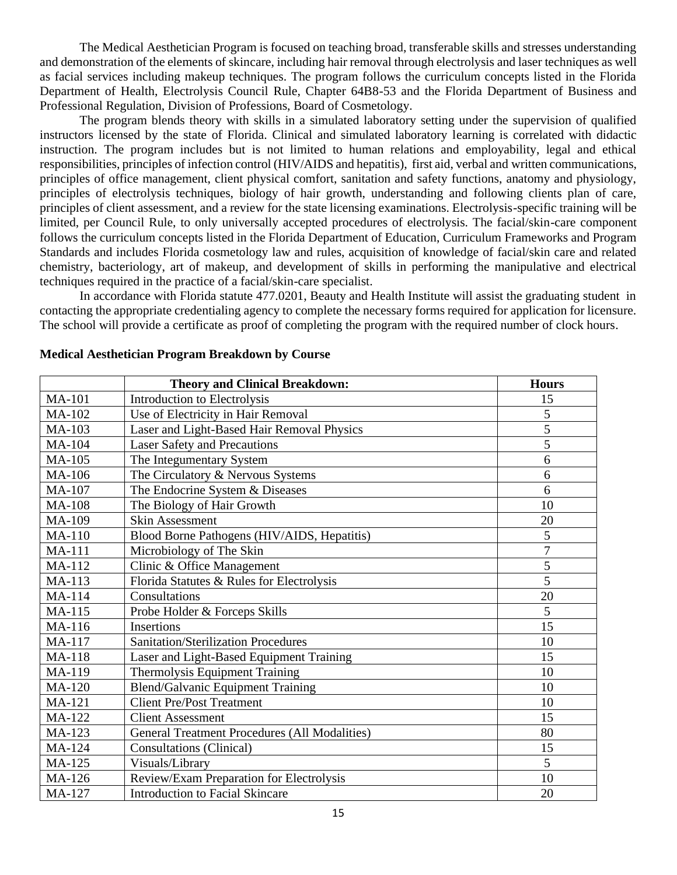The Medical Aesthetician Program is focused on teaching broad, transferable skills and stresses understanding and demonstration of the elements of skincare, including hair removal through electrolysis and laser techniques as well as facial services including makeup techniques. The program follows the curriculum concepts listed in the Florida Department of Health, Electrolysis Council Rule, Chapter 64B8-53 and the Florida Department of Business and Professional Regulation, Division of Professions, Board of Cosmetology.

The program blends theory with skills in a simulated laboratory setting under the supervision of qualified instructors licensed by the state of Florida. Clinical and simulated laboratory learning is correlated with didactic instruction. The program includes but is not limited to human relations and employability, legal and ethical responsibilities, principles of infection control (HIV/AIDS and hepatitis), first aid, verbal and written communications, principles of office management, client physical comfort, sanitation and safety functions, anatomy and physiology, principles of electrolysis techniques, biology of hair growth, understanding and following clients plan of care, principles of client assessment, and a review for the state licensing examinations. Electrolysis-specific training will be limited, per Council Rule, to only universally accepted procedures of electrolysis. The facial/skin-care component follows the curriculum concepts listed in the Florida Department of Education, Curriculum Frameworks and Program Standards and includes Florida cosmetology law and rules, acquisition of knowledge of facial/skin care and related chemistry, bacteriology, art of makeup, and development of skills in performing the manipulative and electrical techniques required in the practice of a facial/skin-care specialist.

In accordance with Florida statute 477.0201, Beauty and Health Institute will assist the graduating student in contacting the appropriate credentialing agency to complete the necessary forms required for application for licensure. The school will provide a certificate as proof of completing the program with the required number of clock hours.

|               | <b>Theory and Clinical Breakdown:</b>                | <b>Hours</b>   |
|---------------|------------------------------------------------------|----------------|
| <b>MA-101</b> | <b>Introduction to Electrolysis</b>                  | 15             |
| MA-102        | Use of Electricity in Hair Removal                   | 5              |
| MA-103        | Laser and Light-Based Hair Removal Physics           | 5              |
| <b>MA-104</b> | <b>Laser Safety and Precautions</b>                  | 5              |
| <b>MA-105</b> | The Integumentary System                             | 6              |
| MA-106        | The Circulatory & Nervous Systems                    | 6              |
| <b>MA-107</b> | The Endocrine System & Diseases                      | 6              |
| <b>MA-108</b> | The Biology of Hair Growth                           | 10             |
| MA-109        | <b>Skin Assessment</b>                               | 20             |
| <b>MA-110</b> | Blood Borne Pathogens (HIV/AIDS, Hepatitis)          | 5              |
| <b>MA-111</b> | Microbiology of The Skin                             | $\overline{7}$ |
| MA-112        | Clinic & Office Management                           | 5              |
| MA-113        | Florida Statutes & Rules for Electrolysis            | 5              |
| MA-114        | Consultations                                        | 20             |
| <b>MA-115</b> | Probe Holder & Forceps Skills                        | 5              |
| MA-116        | <b>Insertions</b>                                    | 15             |
| MA-117        | <b>Sanitation/Sterilization Procedures</b>           | 10             |
| <b>MA-118</b> | Laser and Light-Based Equipment Training             | 15             |
| MA-119        | Thermolysis Equipment Training                       | 10             |
| <b>MA-120</b> | Blend/Galvanic Equipment Training                    | 10             |
| <b>MA-121</b> | <b>Client Pre/Post Treatment</b>                     | 10             |
| <b>MA-122</b> | <b>Client Assessment</b>                             | 15             |
| MA-123        | <b>General Treatment Procedures (All Modalities)</b> | 80             |
| <b>MA-124</b> | <b>Consultations (Clinical)</b>                      | 15             |
| MA-125        | Visuals/Library                                      | 5              |
| MA-126        | Review/Exam Preparation for Electrolysis             | 10             |
| <b>MA-127</b> | <b>Introduction to Facial Skincare</b>               | 20             |

#### **Medical Aesthetician Program Breakdown by Course**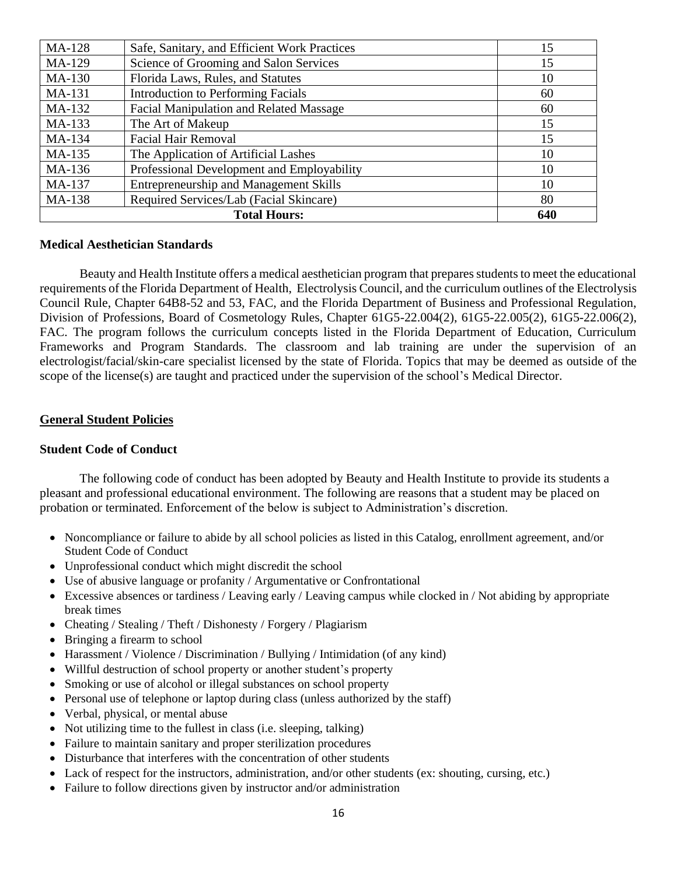| <b>MA-128</b> | Safe, Sanitary, and Efficient Work Practices   | 15  |
|---------------|------------------------------------------------|-----|
| MA-129        | Science of Grooming and Salon Services         | 15  |
| MA-130        | Florida Laws, Rules, and Statutes              | 10  |
| MA-131        | <b>Introduction to Performing Facials</b>      | 60  |
| MA-132        | <b>Facial Manipulation and Related Massage</b> | 60  |
| MA-133        | The Art of Makeup                              | 15  |
| MA-134        | <b>Facial Hair Removal</b>                     | 15  |
| MA-135        | The Application of Artificial Lashes           | 10  |
| MA-136        | Professional Development and Employability     | 10  |
| MA-137        | <b>Entrepreneurship and Management Skills</b>  | 10  |
| MA-138        | Required Services/Lab (Facial Skincare)        | 80  |
|               | <b>Total Hours:</b>                            | 640 |

## **Medical Aesthetician Standards**

Beauty and Health Institute offers a medical aesthetician program that prepares students to meet the educational requirements of the Florida Department of Health, Electrolysis Council, and the curriculum outlines of the Electrolysis Council Rule, Chapter 64B8-52 and 53, FAC, and the Florida Department of Business and Professional Regulation, Division of Professions, Board of Cosmetology Rules, Chapter 61G5-22.004(2), 61G5-22.005(2), 61G5-22.006(2), FAC. The program follows the curriculum concepts listed in the Florida Department of Education, Curriculum Frameworks and Program Standards. The classroom and lab training are under the supervision of an electrologist/facial/skin-care specialist licensed by the state of Florida. Topics that may be deemed as outside of the scope of the license(s) are taught and practiced under the supervision of the school's Medical Director.

#### **General Student Policies**

#### **Student Code of Conduct**

The following code of conduct has been adopted by Beauty and Health Institute to provide its students a pleasant and professional educational environment. The following are reasons that a student may be placed on probation or terminated. Enforcement of the below is subject to Administration's discretion.

- Noncompliance or failure to abide by all school policies as listed in this Catalog, enrollment agreement, and/or Student Code of Conduct
- Unprofessional conduct which might discredit the school
- Use of abusive language or profanity / Argumentative or Confrontational
- Excessive absences or tardiness / Leaving early / Leaving campus while clocked in / Not abiding by appropriate break times
- Cheating / Stealing / Theft / Dishonesty / Forgery / Plagiarism
- Bringing a firearm to school
- Harassment / Violence / Discrimination / Bullying / Intimidation (of any kind)
- Willful destruction of school property or another student's property
- Smoking or use of alcohol or illegal substances on school property
- Personal use of telephone or laptop during class (unless authorized by the staff)
- Verbal, physical, or mental abuse
- Not utilizing time to the fullest in class (i.e. sleeping, talking)
- Failure to maintain sanitary and proper sterilization procedures
- Disturbance that interferes with the concentration of other students
- Lack of respect for the instructors, administration, and/or other students (ex: shouting, cursing, etc.)
- Failure to follow directions given by instructor and/or administration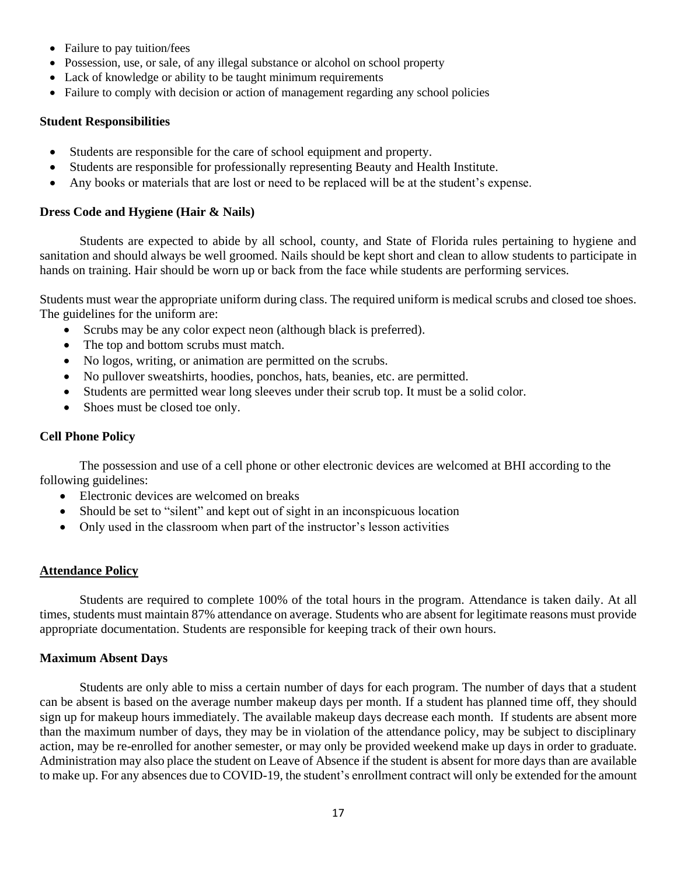- Failure to pay tuition/fees
- Possession, use, or sale, of any illegal substance or alcohol on school property
- Lack of knowledge or ability to be taught minimum requirements
- Failure to comply with decision or action of management regarding any school policies

## **Student Responsibilities**

- Students are responsible for the care of school equipment and property.
- Students are responsible for professionally representing Beauty and Health Institute.
- Any books or materials that are lost or need to be replaced will be at the student's expense.

## **Dress Code and Hygiene (Hair & Nails)**

Students are expected to abide by all school, county, and State of Florida rules pertaining to hygiene and sanitation and should always be well groomed. Nails should be kept short and clean to allow students to participate in hands on training. Hair should be worn up or back from the face while students are performing services.

Students must wear the appropriate uniform during class. The required uniform is medical scrubs and closed toe shoes. The guidelines for the uniform are:

- Scrubs may be any color expect neon (although black is preferred).
- The top and bottom scrubs must match.
- No logos, writing, or animation are permitted on the scrubs.
- No pullover sweatshirts, hoodies, ponchos, hats, beanies, etc. are permitted.
- Students are permitted wear long sleeves under their scrub top. It must be a solid color.
- Shoes must be closed toe only.

## **Cell Phone Policy**

The possession and use of a cell phone or other electronic devices are welcomed at BHI according to the following guidelines:

- Electronic devices are welcomed on breaks
- Should be set to "silent" and kept out of sight in an inconspicuous location
- Only used in the classroom when part of the instructor's lesson activities

## **Attendance Policy**

Students are required to complete 100% of the total hours in the program. Attendance is taken daily. At all times, students must maintain 87% attendance on average. Students who are absent for legitimate reasons must provide appropriate documentation. Students are responsible for keeping track of their own hours.

## **Maximum Absent Days**

Students are only able to miss a certain number of days for each program. The number of days that a student can be absent is based on the average number makeup days per month. If a student has planned time off, they should sign up for makeup hours immediately. The available makeup days decrease each month. If students are absent more than the maximum number of days, they may be in violation of the attendance policy, may be subject to disciplinary action, may be re-enrolled for another semester, or may only be provided weekend make up days in order to graduate. Administration may also place the student on Leave of Absence if the student is absent for more days than are available to make up. For any absences due to COVID-19, the student's enrollment contract will only be extended for the amount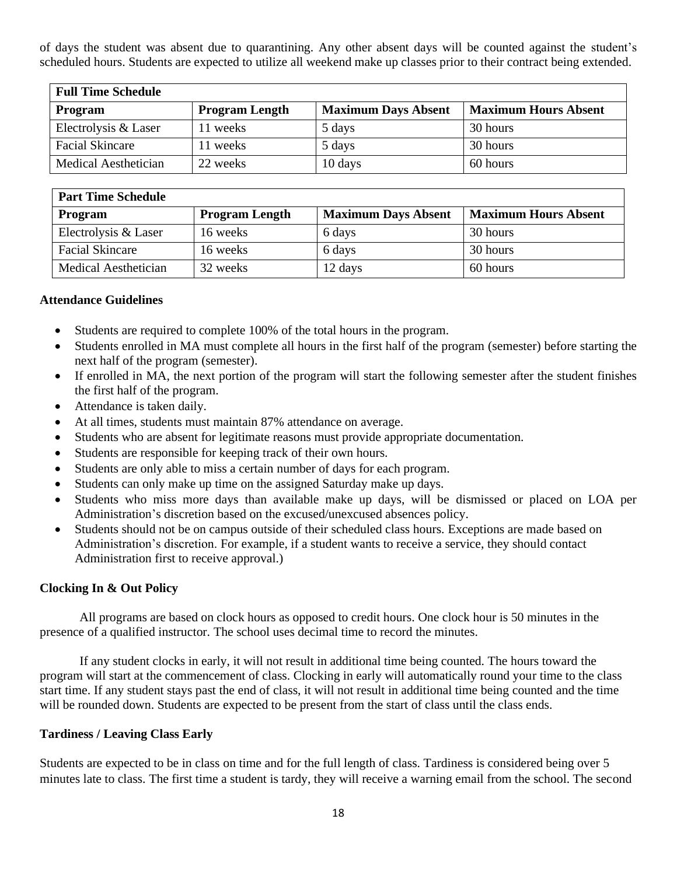of days the student was absent due to quarantining. Any other absent days will be counted against the student's scheduled hours. Students are expected to utilize all weekend make up classes prior to their contract being extended.

| <b>Full Time Schedule</b> |                       |                            |                             |
|---------------------------|-----------------------|----------------------------|-----------------------------|
| Program                   | <b>Program Length</b> | <b>Maximum Days Absent</b> | <b>Maximum Hours Absent</b> |
| Electrolysis & Laser      | 11 weeks              | 5 days                     | 30 hours                    |
| <b>Facial Skincare</b>    | 11 weeks              | 5 days                     | 30 hours                    |
| Medical Aesthetician      | 22 weeks              | 10 days                    | 60 hours                    |

| <b>Part Time Schedule</b> |                       |                            |                             |
|---------------------------|-----------------------|----------------------------|-----------------------------|
| Program                   | <b>Program Length</b> | <b>Maximum Days Absent</b> | <b>Maximum Hours Absent</b> |
| Electrolysis & Laser      | 16 weeks              | 6 days                     | 30 hours                    |
| <b>Facial Skincare</b>    | 16 weeks              | 6 days                     | 30 hours                    |
| Medical Aesthetician      | 32 weeks              | 12 days                    | 60 hours                    |

## **Attendance Guidelines**

- Students are required to complete 100% of the total hours in the program.
- Students enrolled in MA must complete all hours in the first half of the program (semester) before starting the next half of the program (semester).
- If enrolled in MA, the next portion of the program will start the following semester after the student finishes the first half of the program.
- Attendance is taken daily.
- At all times, students must maintain 87% attendance on average.
- Students who are absent for legitimate reasons must provide appropriate documentation.
- Students are responsible for keeping track of their own hours.
- Students are only able to miss a certain number of days for each program.
- Students can only make up time on the assigned Saturday make up days.
- Students who miss more days than available make up days, will be dismissed or placed on LOA per Administration's discretion based on the excused/unexcused absences policy.
- Students should not be on campus outside of their scheduled class hours. Exceptions are made based on Administration's discretion. For example, if a student wants to receive a service, they should contact Administration first to receive approval.)

# **Clocking In & Out Policy**

All programs are based on clock hours as opposed to credit hours. One clock hour is 50 minutes in the presence of a qualified instructor. The school uses decimal time to record the minutes.

If any student clocks in early, it will not result in additional time being counted. The hours toward the program will start at the commencement of class. Clocking in early will automatically round your time to the class start time. If any student stays past the end of class, it will not result in additional time being counted and the time will be rounded down. Students are expected to be present from the start of class until the class ends.

## **Tardiness / Leaving Class Early**

Students are expected to be in class on time and for the full length of class. Tardiness is considered being over 5 minutes late to class. The first time a student is tardy, they will receive a warning email from the school. The second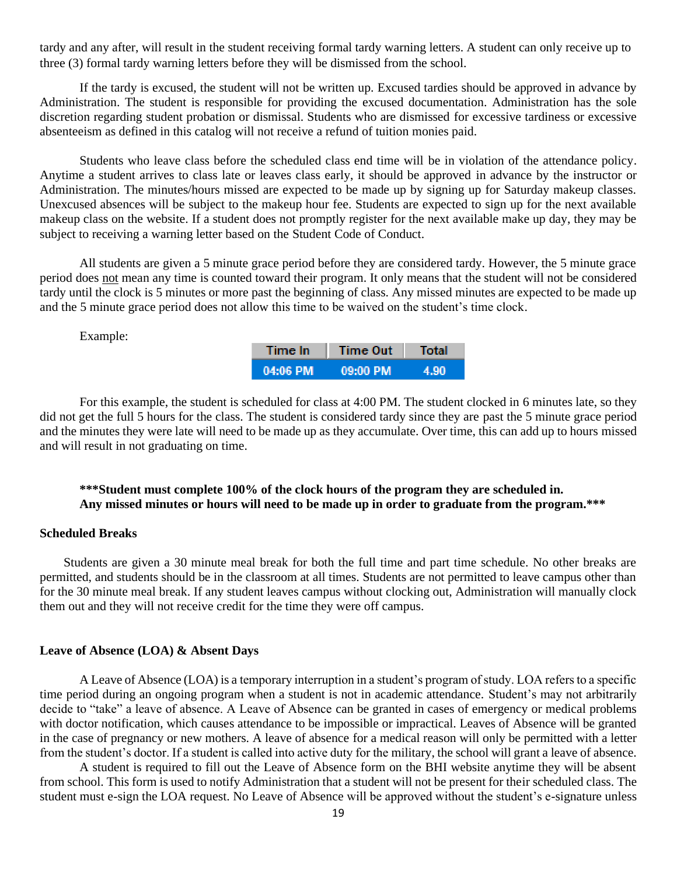tardy and any after, will result in the student receiving formal tardy warning letters. A student can only receive up to three (3) formal tardy warning letters before they will be dismissed from the school.

If the tardy is excused, the student will not be written up. Excused tardies should be approved in advance by Administration. The student is responsible for providing the excused documentation. Administration has the sole discretion regarding student probation or dismissal. Students who are dismissed for excessive tardiness or excessive absenteeism as defined in this catalog will not receive a refund of tuition monies paid.

Students who leave class before the scheduled class end time will be in violation of the attendance policy. Anytime a student arrives to class late or leaves class early, it should be approved in advance by the instructor or Administration. The minutes/hours missed are expected to be made up by signing up for Saturday makeup classes. Unexcused absences will be subject to the makeup hour fee. Students are expected to sign up for the next available makeup class on the website. If a student does not promptly register for the next available make up day, they may be subject to receiving a warning letter based on the Student Code of Conduct.

All students are given a 5 minute grace period before they are considered tardy. However, the 5 minute grace period does not mean any time is counted toward their program. It only means that the student will not be considered tardy until the clock is 5 minutes or more past the beginning of class. Any missed minutes are expected to be made up and the 5 minute grace period does not allow this time to be waived on the student's time clock.

Example:

| Time In:    | <b>Time Out</b> | Total |
|-------------|-----------------|-------|
| .04:06 PM 1 | 09:00 PM        | 490   |

For this example, the student is scheduled for class at 4:00 PM. The student clocked in 6 minutes late, so they did not get the full 5 hours for the class. The student is considered tardy since they are past the 5 minute grace period and the minutes they were late will need to be made up as they accumulate. Over time, this can add up to hours missed and will result in not graduating on time.

# **\*\*\*Student must complete 100% of the clock hours of the program they are scheduled in. Any missed minutes or hours will need to be made up in order to graduate from the program.\*\*\***

#### **Scheduled Breaks**

Students are given a 30 minute meal break for both the full time and part time schedule. No other breaks are permitted, and students should be in the classroom at all times. Students are not permitted to leave campus other than for the 30 minute meal break. If any student leaves campus without clocking out, Administration will manually clock them out and they will not receive credit for the time they were off campus.

#### **Leave of Absence (LOA) & Absent Days**

A Leave of Absence (LOA) is a temporary interruption in a student's program of study. LOA refers to a specific time period during an ongoing program when a student is not in academic attendance. Student's may not arbitrarily decide to "take" a leave of absence. A Leave of Absence can be granted in cases of emergency or medical problems with doctor notification, which causes attendance to be impossible or impractical. Leaves of Absence will be granted in the case of pregnancy or new mothers. A leave of absence for a medical reason will only be permitted with a letter from the student's doctor. If a student is called into active duty for the military, the school will grant a leave of absence.

A student is required to fill out the Leave of Absence form on the BHI website anytime they will be absent from school. This form is used to notify Administration that a student will not be present for their scheduled class. The student must e-sign the LOA request. No Leave of Absence will be approved without the student's e-signature unless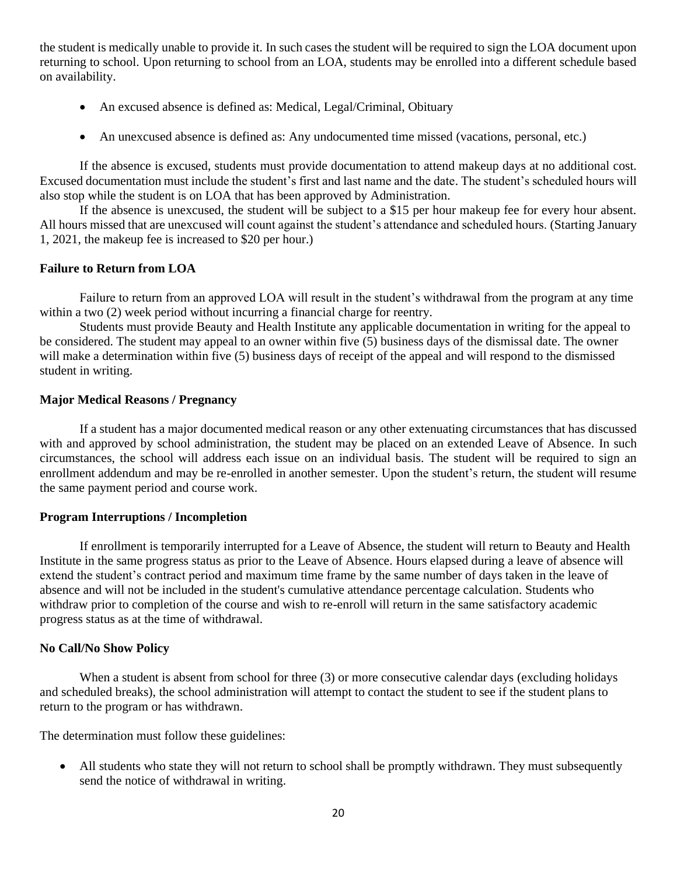the student is medically unable to provide it. In such cases the student will be required to sign the LOA document upon returning to school. Upon returning to school from an LOA, students may be enrolled into a different schedule based on availability.

- An excused absence is defined as: Medical, Legal/Criminal, Obituary
- An unexcused absence is defined as: Any undocumented time missed (vacations, personal, etc.)

If the absence is excused, students must provide documentation to attend makeup days at no additional cost. Excused documentation must include the student's first and last name and the date. The student's scheduled hours will also stop while the student is on LOA that has been approved by Administration.

If the absence is unexcused, the student will be subject to a \$15 per hour makeup fee for every hour absent. All hours missed that are unexcused will count against the student's attendance and scheduled hours. (Starting January 1, 2021, the makeup fee is increased to \$20 per hour.)

## **Failure to Return from LOA**

Failure to return from an approved LOA will result in the student's withdrawal from the program at any time within a two  $(2)$  week period without incurring a financial charge for reentry.

Students must provide Beauty and Health Institute any applicable documentation in writing for the appeal to be considered. The student may appeal to an owner within five (5) business days of the dismissal date. The owner will make a determination within five (5) business days of receipt of the appeal and will respond to the dismissed student in writing.

## **Major Medical Reasons / Pregnancy**

If a student has a major documented medical reason or any other extenuating circumstances that has discussed with and approved by school administration, the student may be placed on an extended Leave of Absence. In such circumstances, the school will address each issue on an individual basis. The student will be required to sign an enrollment addendum and may be re-enrolled in another semester. Upon the student's return, the student will resume the same payment period and course work.

## **Program Interruptions / Incompletion**

If enrollment is temporarily interrupted for a Leave of Absence, the student will return to Beauty and Health Institute in the same progress status as prior to the Leave of Absence. Hours elapsed during a leave of absence will extend the student's contract period and maximum time frame by the same number of days taken in the leave of absence and will not be included in the student's cumulative attendance percentage calculation. Students who withdraw prior to completion of the course and wish to re-enroll will return in the same satisfactory academic progress status as at the time of withdrawal.

## **No Call/No Show Policy**

When a student is absent from school for three (3) or more consecutive calendar days (excluding holidays and scheduled breaks), the school administration will attempt to contact the student to see if the student plans to return to the program or has withdrawn.

The determination must follow these guidelines:

• All students who state they will not return to school shall be promptly withdrawn. They must subsequently send the notice of withdrawal in writing.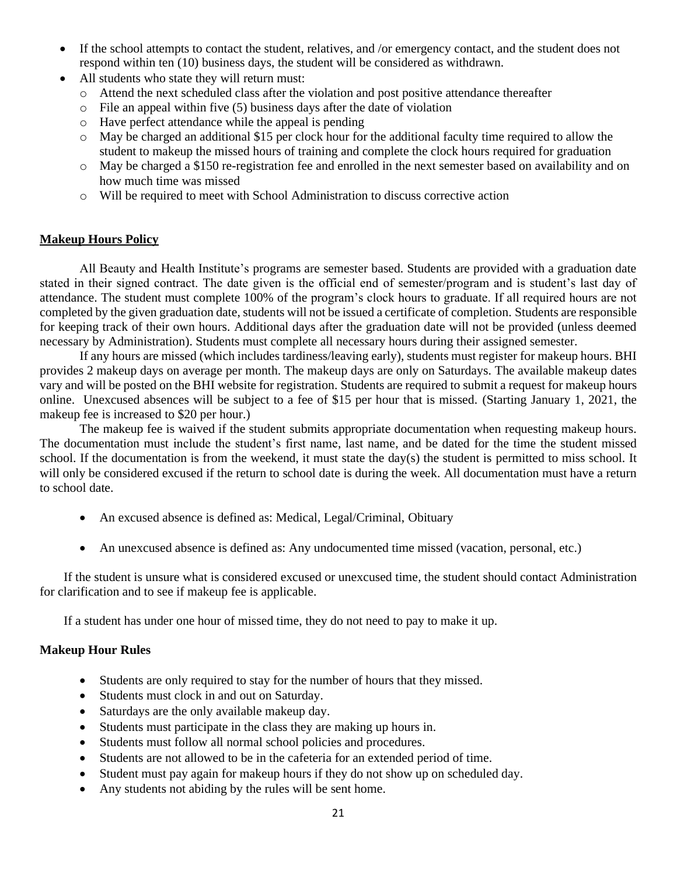- If the school attempts to contact the student, relatives, and /or emergency contact, and the student does not respond within ten (10) business days, the student will be considered as withdrawn.
- All students who state they will return must:
	- o Attend the next scheduled class after the violation and post positive attendance thereafter
	- $\circ$  File an appeal within five (5) business days after the date of violation
	- o Have perfect attendance while the appeal is pending
	- o May be charged an additional \$15 per clock hour for the additional faculty time required to allow the student to makeup the missed hours of training and complete the clock hours required for graduation
	- o May be charged a \$150 re-registration fee and enrolled in the next semester based on availability and on how much time was missed
	- o Will be required to meet with School Administration to discuss corrective action

# **Makeup Hours Policy**

All Beauty and Health Institute's programs are semester based. Students are provided with a graduation date stated in their signed contract. The date given is the official end of semester/program and is student's last day of attendance. The student must complete 100% of the program's clock hours to graduate. If all required hours are not completed by the given graduation date, students will not be issued a certificate of completion. Students are responsible for keeping track of their own hours. Additional days after the graduation date will not be provided (unless deemed necessary by Administration). Students must complete all necessary hours during their assigned semester.

If any hours are missed (which includes tardiness/leaving early), students must register for makeup hours. BHI provides 2 makeup days on average per month. The makeup days are only on Saturdays. The available makeup dates vary and will be posted on the BHI website for registration. Students are required to submit a request for makeup hours online. Unexcused absences will be subject to a fee of \$15 per hour that is missed. (Starting January 1, 2021, the makeup fee is increased to \$20 per hour.)

The makeup fee is waived if the student submits appropriate documentation when requesting makeup hours. The documentation must include the student's first name, last name, and be dated for the time the student missed school. If the documentation is from the weekend, it must state the day(s) the student is permitted to miss school. It will only be considered excused if the return to school date is during the week. All documentation must have a return to school date.

- An excused absence is defined as: Medical, Legal/Criminal, Obituary
- An unexcused absence is defined as: Any undocumented time missed (vacation, personal, etc.)

If the student is unsure what is considered excused or unexcused time, the student should contact Administration for clarification and to see if makeup fee is applicable.

If a student has under one hour of missed time, they do not need to pay to make it up.

# **Makeup Hour Rules**

- Students are only required to stay for the number of hours that they missed.
- Students must clock in and out on Saturday.
- Saturdays are the only available makeup day.
- Students must participate in the class they are making up hours in.
- Students must follow all normal school policies and procedures.
- Students are not allowed to be in the cafeteria for an extended period of time.
- Student must pay again for makeup hours if they do not show up on scheduled day.
- Any students not abiding by the rules will be sent home.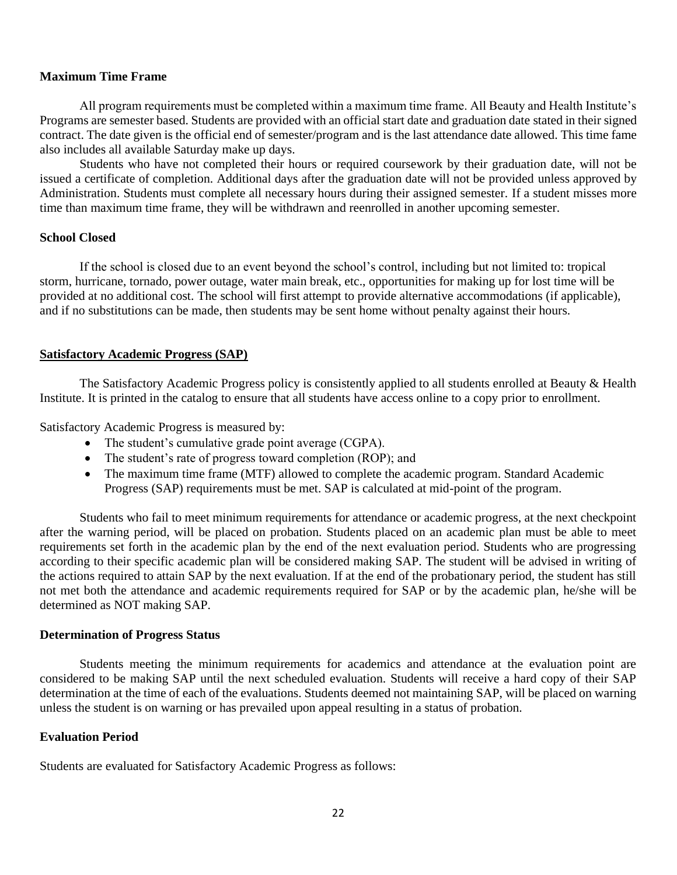#### **Maximum Time Frame**

All program requirements must be completed within a maximum time frame. All Beauty and Health Institute's Programs are semester based. Students are provided with an official start date and graduation date stated in their signed contract. The date given is the official end of semester/program and is the last attendance date allowed. This time fame also includes all available Saturday make up days.

Students who have not completed their hours or required coursework by their graduation date, will not be issued a certificate of completion. Additional days after the graduation date will not be provided unless approved by Administration. Students must complete all necessary hours during their assigned semester. If a student misses more time than maximum time frame, they will be withdrawn and reenrolled in another upcoming semester.

#### **School Closed**

If the school is closed due to an event beyond the school's control, including but not limited to: tropical storm, hurricane, tornado, power outage, water main break, etc., opportunities for making up for lost time will be provided at no additional cost. The school will first attempt to provide alternative accommodations (if applicable), and if no substitutions can be made, then students may be sent home without penalty against their hours.

#### **Satisfactory Academic Progress (SAP)**

The Satisfactory Academic Progress policy is consistently applied to all students enrolled at Beauty & Health Institute. It is printed in the catalog to ensure that all students have access online to a copy prior to enrollment.

Satisfactory Academic Progress is measured by:

- The student's cumulative grade point average (CGPA).
- The student's rate of progress toward completion (ROP); and
- The maximum time frame (MTF) allowed to complete the academic program. Standard Academic Progress (SAP) requirements must be met. SAP is calculated at mid-point of the program.

Students who fail to meet minimum requirements for attendance or academic progress, at the next checkpoint after the warning period, will be placed on probation. Students placed on an academic plan must be able to meet requirements set forth in the academic plan by the end of the next evaluation period. Students who are progressing according to their specific academic plan will be considered making SAP. The student will be advised in writing of the actions required to attain SAP by the next evaluation. If at the end of the probationary period, the student has still not met both the attendance and academic requirements required for SAP or by the academic plan, he/she will be determined as NOT making SAP.

#### **Determination of Progress Status**

Students meeting the minimum requirements for academics and attendance at the evaluation point are considered to be making SAP until the next scheduled evaluation. Students will receive a hard copy of their SAP determination at the time of each of the evaluations. Students deemed not maintaining SAP, will be placed on warning unless the student is on warning or has prevailed upon appeal resulting in a status of probation.

## **Evaluation Period**

Students are evaluated for Satisfactory Academic Progress as follows: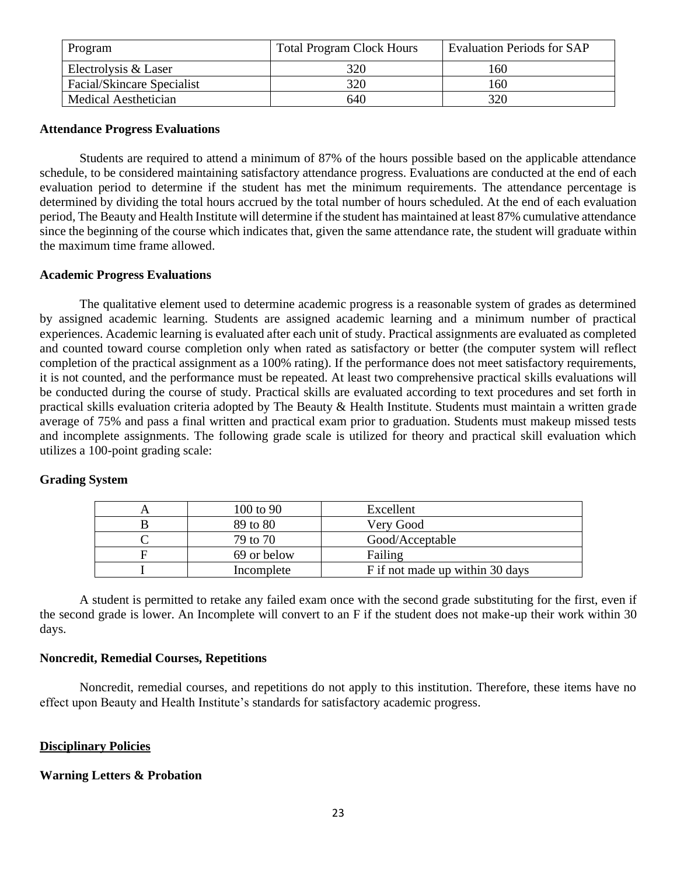| Program                    | <b>Total Program Clock Hours</b> | <b>Evaluation Periods for SAP</b> |
|----------------------------|----------------------------------|-----------------------------------|
| Electrolysis & Laser       | 320                              | 160                               |
| Facial/Skincare Specialist | 320                              | 160                               |
| Medical Aesthetician       | 640                              | 320                               |

#### **Attendance Progress Evaluations**

Students are required to attend a minimum of 87% of the hours possible based on the applicable attendance schedule, to be considered maintaining satisfactory attendance progress. Evaluations are conducted at the end of each evaluation period to determine if the student has met the minimum requirements. The attendance percentage is determined by dividing the total hours accrued by the total number of hours scheduled. At the end of each evaluation period, The Beauty and Health Institute will determine if the student has maintained at least 87% cumulative attendance since the beginning of the course which indicates that, given the same attendance rate, the student will graduate within the maximum time frame allowed.

#### **Academic Progress Evaluations**

The qualitative element used to determine academic progress is a reasonable system of grades as determined by assigned academic learning. Students are assigned academic learning and a minimum number of practical experiences. Academic learning is evaluated after each unit of study. Practical assignments are evaluated as completed and counted toward course completion only when rated as satisfactory or better (the computer system will reflect completion of the practical assignment as a 100% rating). If the performance does not meet satisfactory requirements, it is not counted, and the performance must be repeated. At least two comprehensive practical skills evaluations will be conducted during the course of study. Practical skills are evaluated according to text procedures and set forth in practical skills evaluation criteria adopted by The Beauty & Health Institute. Students must maintain a written grade average of 75% and pass a final written and practical exam prior to graduation. Students must makeup missed tests and incomplete assignments. The following grade scale is utilized for theory and practical skill evaluation which utilizes a 100-point grading scale:

| 100 to 90   | Excellent                       |
|-------------|---------------------------------|
| 89 to 80    | Very Good                       |
| 79 to 70    | Good/Acceptable                 |
| 69 or below | Failing                         |
| Incomplete  | F if not made up within 30 days |

## **Grading System**

A student is permitted to retake any failed exam once with the second grade substituting for the first, even if the second grade is lower. An Incomplete will convert to an F if the student does not make-up their work within 30 days.

## **Noncredit, Remedial Courses, Repetitions**

Noncredit, remedial courses, and repetitions do not apply to this institution. Therefore, these items have no effect upon Beauty and Health Institute's standards for satisfactory academic progress.

## **Disciplinary Policies**

## **Warning Letters & Probation**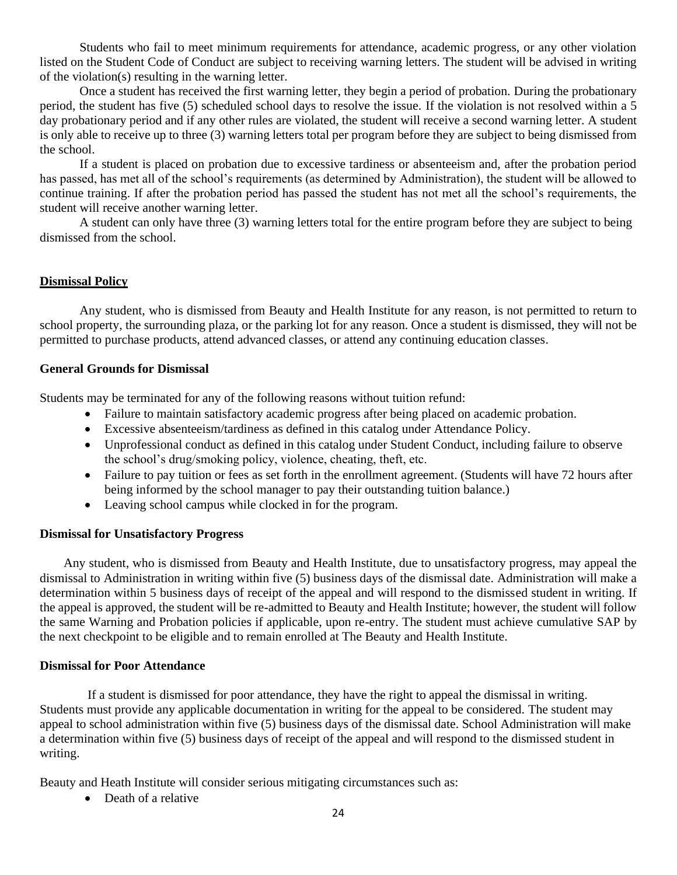Students who fail to meet minimum requirements for attendance, academic progress, or any other violation listed on the Student Code of Conduct are subject to receiving warning letters. The student will be advised in writing of the violation(s) resulting in the warning letter.

Once a student has received the first warning letter, they begin a period of probation. During the probationary period, the student has five (5) scheduled school days to resolve the issue. If the violation is not resolved within a 5 day probationary period and if any other rules are violated, the student will receive a second warning letter. A student is only able to receive up to three (3) warning letters total per program before they are subject to being dismissed from the school.

If a student is placed on probation due to excessive tardiness or absenteeism and, after the probation period has passed, has met all of the school's requirements (as determined by Administration), the student will be allowed to continue training. If after the probation period has passed the student has not met all the school's requirements, the student will receive another warning letter.

A student can only have three (3) warning letters total for the entire program before they are subject to being dismissed from the school.

## **Dismissal Policy**

Any student, who is dismissed from Beauty and Health Institute for any reason, is not permitted to return to school property, the surrounding plaza, or the parking lot for any reason. Once a student is dismissed, they will not be permitted to purchase products, attend advanced classes, or attend any continuing education classes.

## **General Grounds for Dismissal**

Students may be terminated for any of the following reasons without tuition refund:

- Failure to maintain satisfactory academic progress after being placed on academic probation.
- Excessive absenteeism/tardiness as defined in this catalog under Attendance Policy.
- Unprofessional conduct as defined in this catalog under Student Conduct, including failure to observe the school's drug/smoking policy, violence, cheating, theft, etc.
- Failure to pay tuition or fees as set forth in the enrollment agreement. (Students will have 72 hours after being informed by the school manager to pay their outstanding tuition balance.)
- Leaving school campus while clocked in for the program.

## **Dismissal for Unsatisfactory Progress**

Any student, who is dismissed from Beauty and Health Institute, due to unsatisfactory progress, may appeal the dismissal to Administration in writing within five (5) business days of the dismissal date. Administration will make a determination within 5 business days of receipt of the appeal and will respond to the dismissed student in writing. If the appeal is approved, the student will be re-admitted to Beauty and Health Institute; however, the student will follow the same Warning and Probation policies if applicable, upon re-entry. The student must achieve cumulative SAP by the next checkpoint to be eligible and to remain enrolled at The Beauty and Health Institute.

## **Dismissal for Poor Attendance**

If a student is dismissed for poor attendance, they have the right to appeal the dismissal in writing. Students must provide any applicable documentation in writing for the appeal to be considered. The student may appeal to school administration within five (5) business days of the dismissal date. School Administration will make a determination within five (5) business days of receipt of the appeal and will respond to the dismissed student in writing.

Beauty and Heath Institute will consider serious mitigating circumstances such as:

• Death of a relative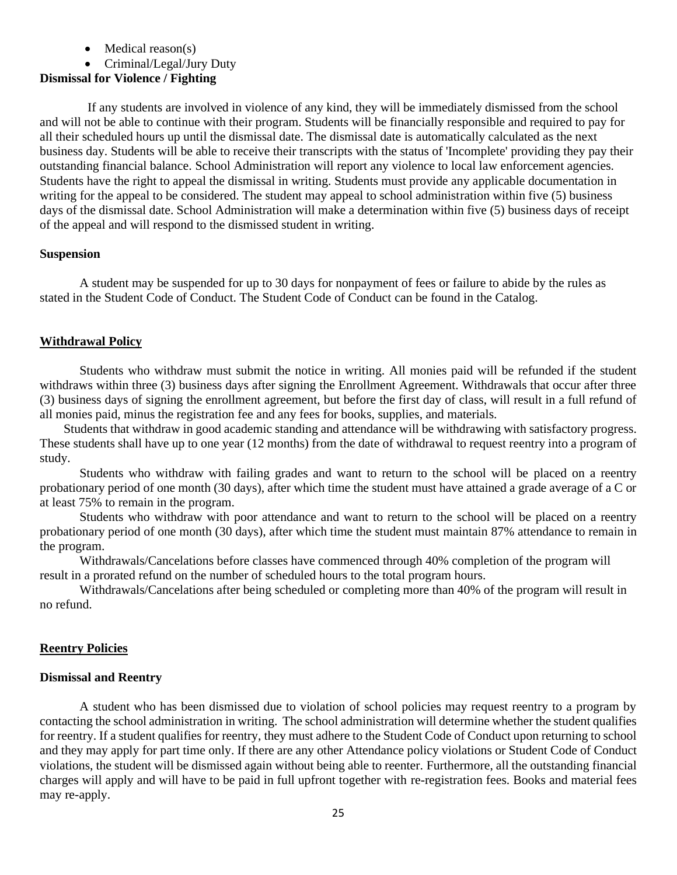- Medical reason(s)
- Criminal/Legal/Jury Duty

## **Dismissal for Violence / Fighting**

If any students are involved in violence of any kind, they will be immediately dismissed from the school and will not be able to continue with their program. Students will be financially responsible and required to pay for all their scheduled hours up until the dismissal date. The dismissal date is automatically calculated as the next business day. Students will be able to receive their transcripts with the status of 'Incomplete' providing they pay their outstanding financial balance. School Administration will report any violence to local law enforcement agencies. Students have the right to appeal the dismissal in writing. Students must provide any applicable documentation in writing for the appeal to be considered. The student may appeal to school administration within five (5) business days of the dismissal date. School Administration will make a determination within five (5) business days of receipt of the appeal and will respond to the dismissed student in writing.

#### **Suspension**

A student may be suspended for up to 30 days for nonpayment of fees or failure to abide by the rules as stated in the Student Code of Conduct. The Student Code of Conduct can be found in the Catalog.

## **Withdrawal Policy**

Students who withdraw must submit the notice in writing. All monies paid will be refunded if the student withdraws within three (3) business days after signing the Enrollment Agreement. Withdrawals that occur after three (3) business days of signing the enrollment agreement, but before the first day of class, will result in a full refund of all monies paid, minus the registration fee and any fees for books, supplies, and materials.

Students that withdraw in good academic standing and attendance will be withdrawing with satisfactory progress. These students shall have up to one year (12 months) from the date of withdrawal to request reentry into a program of study.

Students who withdraw with failing grades and want to return to the school will be placed on a reentry probationary period of one month (30 days), after which time the student must have attained a grade average of a C or at least 75% to remain in the program.

Students who withdraw with poor attendance and want to return to the school will be placed on a reentry probationary period of one month (30 days), after which time the student must maintain 87% attendance to remain in the program.

Withdrawals/Cancelations before classes have commenced through 40% completion of the program will result in a prorated refund on the number of scheduled hours to the total program hours.

Withdrawals/Cancelations after being scheduled or completing more than 40% of the program will result in no refund.

## **Reentry Policies**

#### **Dismissal and Reentry**

A student who has been dismissed due to violation of school policies may request reentry to a program by contacting the school administration in writing. The school administration will determine whether the student qualifies for reentry. If a student qualifies for reentry, they must adhere to the Student Code of Conduct upon returning to school and they may apply for part time only. If there are any other Attendance policy violations or Student Code of Conduct violations, the student will be dismissed again without being able to reenter. Furthermore, all the outstanding financial charges will apply and will have to be paid in full upfront together with re-registration fees. Books and material fees may re-apply.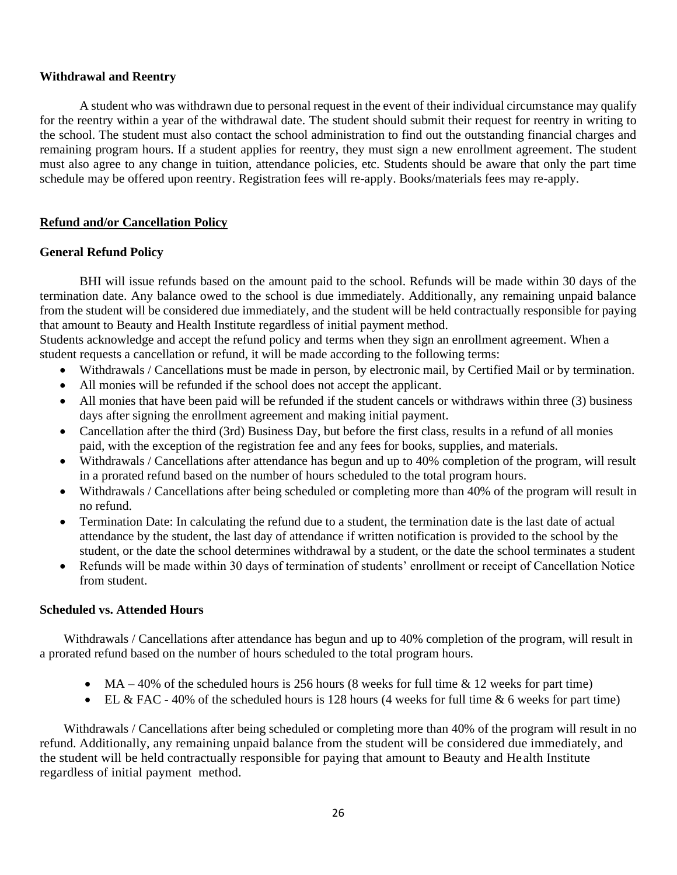## **Withdrawal and Reentry**

A student who was withdrawn due to personal request in the event of their individual circumstance may qualify for the reentry within a year of the withdrawal date. The student should submit their request for reentry in writing to the school. The student must also contact the school administration to find out the outstanding financial charges and remaining program hours. If a student applies for reentry, they must sign a new enrollment agreement. The student must also agree to any change in tuition, attendance policies, etc. Students should be aware that only the part time schedule may be offered upon reentry. Registration fees will re-apply. Books/materials fees may re-apply.

# **Refund and/or Cancellation Policy**

## **General Refund Policy**

BHI will issue refunds based on the amount paid to the school. Refunds will be made within 30 days of the termination date. Any balance owed to the school is due immediately. Additionally, any remaining unpaid balance from the student will be considered due immediately, and the student will be held contractually responsible for paying that amount to Beauty and Health Institute regardless of initial payment method.

Students acknowledge and accept the refund policy and terms when they sign an enrollment agreement. When a student requests a cancellation or refund, it will be made according to the following terms:

- Withdrawals / Cancellations must be made in person, by electronic mail, by Certified Mail or by termination.
- All monies will be refunded if the school does not accept the applicant.
- All monies that have been paid will be refunded if the student cancels or withdraws within three (3) business days after signing the enrollment agreement and making initial payment.
- Cancellation after the third (3rd) Business Day, but before the first class, results in a refund of all monies paid, with the exception of the registration fee and any fees for books, supplies, and materials.
- Withdrawals / Cancellations after attendance has begun and up to 40% completion of the program, will result in a prorated refund based on the number of hours scheduled to the total program hours.
- Withdrawals / Cancellations after being scheduled or completing more than 40% of the program will result in no refund.
- Termination Date: In calculating the refund due to a student, the termination date is the last date of actual attendance by the student, the last day of attendance if written notification is provided to the school by the student, or the date the school determines withdrawal by a student, or the date the school terminates a student
- Refunds will be made within 30 days of termination of students' enrollment or receipt of Cancellation Notice from student.

## **Scheduled vs. Attended Hours**

Withdrawals / Cancellations after attendance has begun and up to 40% completion of the program, will result in a prorated refund based on the number of hours scheduled to the total program hours.

- $MA 40\%$  of the scheduled hours is 256 hours (8 weeks for full time  $\&$  12 weeks for part time)
- EL & FAC 40% of the scheduled hours is 128 hours (4 weeks for full time & 6 weeks for part time)

Withdrawals / Cancellations after being scheduled or completing more than 40% of the program will result in no refund. Additionally, any remaining unpaid balance from the student will be considered due immediately, and the student will be held contractually responsible for paying that amount to Beauty and Health Institute regardless of initial payment method.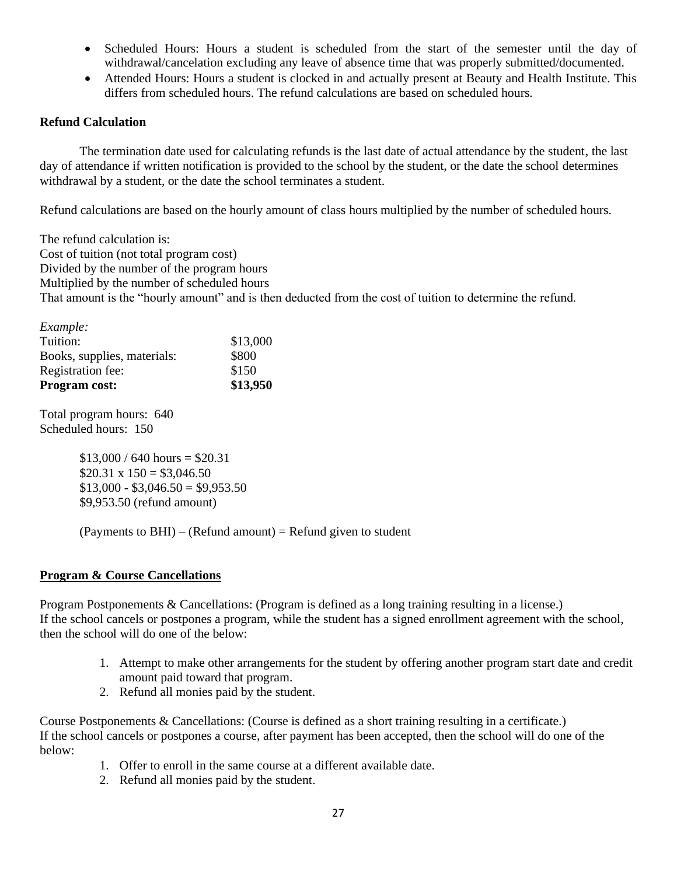- Scheduled Hours: Hours a student is scheduled from the start of the semester until the day of withdrawal/cancelation excluding any leave of absence time that was properly submitted/documented.
- Attended Hours: Hours a student is clocked in and actually present at Beauty and Health Institute. This differs from scheduled hours. The refund calculations are based on scheduled hours.

## **Refund Calculation**

The termination date used for calculating refunds is the last date of actual attendance by the student, the last day of attendance if written notification is provided to the school by the student, or the date the school determines withdrawal by a student, or the date the school terminates a student.

Refund calculations are based on the hourly amount of class hours multiplied by the number of scheduled hours.

The refund calculation is: Cost of tuition (not total program cost) Divided by the number of the program hours Multiplied by the number of scheduled hours That amount is the "hourly amount" and is then deducted from the cost of tuition to determine the refund.

| Example:                    |          |
|-----------------------------|----------|
| Tuition:                    | \$13,000 |
| Books, supplies, materials: | \$800    |
| Registration fee:           | \$150    |
| <b>Program cost:</b>        | \$13,950 |

Total program hours: 640 Scheduled hours: 150

> $$13,000 / 640$  hours = \$20.31  $$20.31 \times 150 = $3.046.50$  $$13,000 - $3,046.50 = $9,953.50$ \$9,953.50 (refund amount)

 $(Pa$ <sup>r</sup> (Payments to BHI) – (Refund amount) = Refund given to student

## **Program & Course Cancellations**

Program Postponements & Cancellations: (Program is defined as a long training resulting in a license.) If the school cancels or postpones a program, while the student has a signed enrollment agreement with the school, then the school will do one of the below:

- 1. Attempt to make other arrangements for the student by offering another program start date and credit amount paid toward that program.
- 2. Refund all monies paid by the student.

Course Postponements & Cancellations: (Course is defined as a short training resulting in a certificate.) If the school cancels or postpones a course, after payment has been accepted, then the school will do one of the below:

- 1. Offer to enroll in the same course at a different available date.
- 2. Refund all monies paid by the student.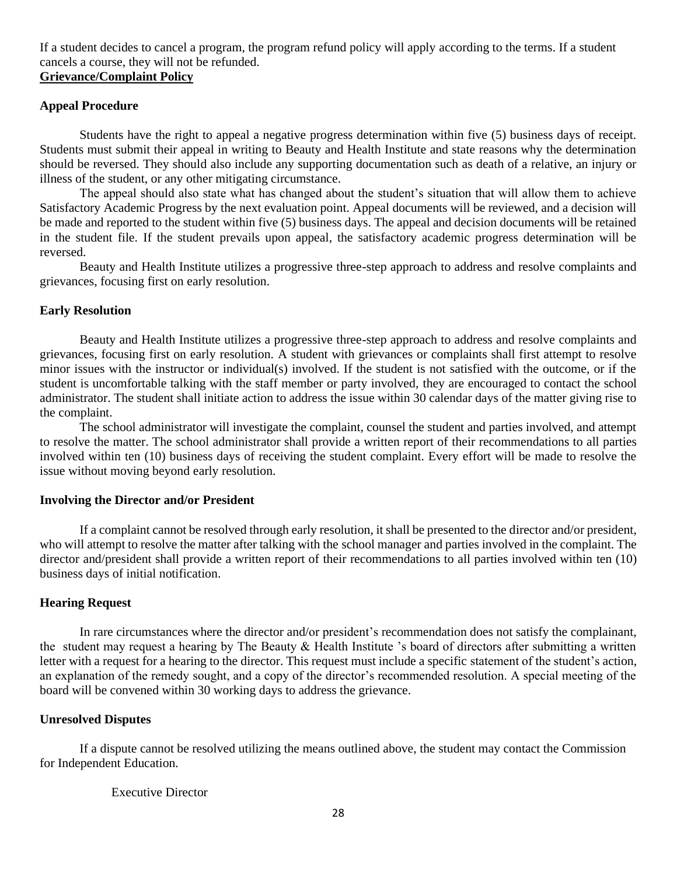If a student decides to cancel a program, the program refund policy will apply according to the terms. If a student cancels a course, they will not be refunded. **Grievance/Complaint Policy**

# **Appeal Procedure**

Students have the right to appeal a negative progress determination within five (5) business days of receipt. Students must submit their appeal in writing to Beauty and Health Institute and state reasons why the determination should be reversed. They should also include any supporting documentation such as death of a relative, an injury or illness of the student, or any other mitigating circumstance.

The appeal should also state what has changed about the student's situation that will allow them to achieve Satisfactory Academic Progress by the next evaluation point. Appeal documents will be reviewed, and a decision will be made and reported to the student within five (5) business days. The appeal and decision documents will be retained in the student file. If the student prevails upon appeal, the satisfactory academic progress determination will be reversed.

Beauty and Health Institute utilizes a progressive three-step approach to address and resolve complaints and grievances, focusing first on early resolution.

## **Early Resolution**

Beauty and Health Institute utilizes a progressive three-step approach to address and resolve complaints and grievances, focusing first on early resolution. A student with grievances or complaints shall first attempt to resolve minor issues with the instructor or individual(s) involved. If the student is not satisfied with the outcome, or if the student is uncomfortable talking with the staff member or party involved, they are encouraged to contact the school administrator. The student shall initiate action to address the issue within 30 calendar days of the matter giving rise to the complaint.

The school administrator will investigate the complaint, counsel the student and parties involved, and attempt to resolve the matter. The school administrator shall provide a written report of their recommendations to all parties involved within ten (10) business days of receiving the student complaint. Every effort will be made to resolve the issue without moving beyond early resolution.

## **Involving the Director and/or President**

If a complaint cannot be resolved through early resolution, it shall be presented to the director and/or president, who will attempt to resolve the matter after talking with the school manager and parties involved in the complaint. The director and/president shall provide a written report of their recommendations to all parties involved within ten (10) business days of initial notification.

## **Hearing Request**

In rare circumstances where the director and/or president's recommendation does not satisfy the complainant, the student may request a hearing by The Beauty & Health Institute 's board of directors after submitting a written letter with a request for a hearing to the director. This request must include a specific statement of the student's action, an explanation of the remedy sought, and a copy of the director's recommended resolution. A special meeting of the board will be convened within 30 working days to address the grievance.

## **Unresolved Disputes**

If a dispute cannot be resolved utilizing the means outlined above, the student may contact the Commission for Independent Education.

# Executive Director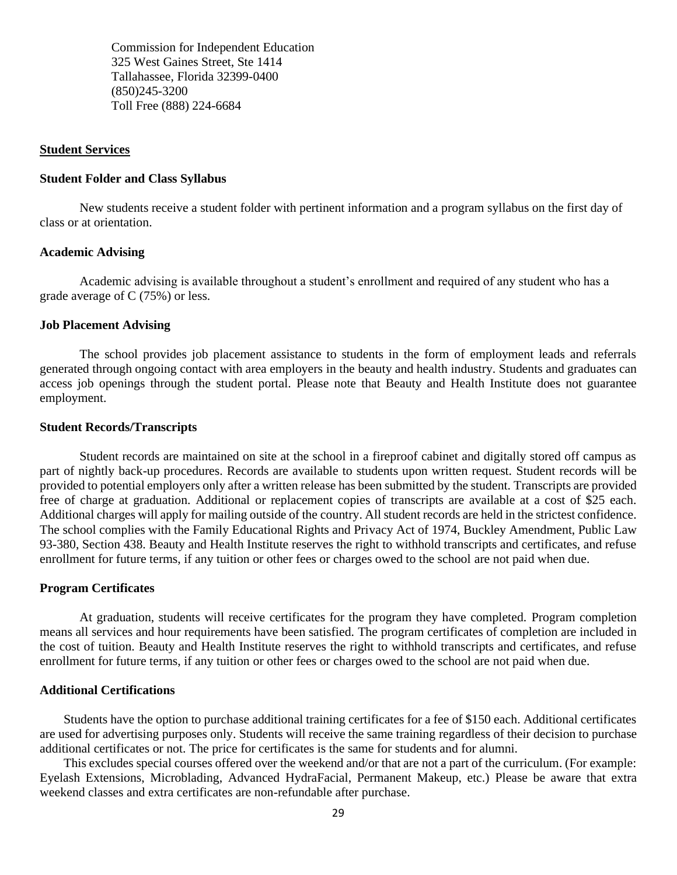Commission for Independent Education 325 West Gaines Street, Ste 1414 Tallahassee, Florida 32399-0400 (850)245-3200 Toll Free (888) 224-6684

#### **Student Services**

#### **Student Folder and Class Syllabus**

New students receive a student folder with pertinent information and a program syllabus on the first day of class or at orientation.

#### **Academic Advising**

Academic advising is available throughout a student's enrollment and required of any student who has a grade average of C (75%) or less.

#### **Job Placement Advising**

The school provides job placement assistance to students in the form of employment leads and referrals generated through ongoing contact with area employers in the beauty and health industry. Students and graduates can access job openings through the student portal. Please note that Beauty and Health Institute does not guarantee employment.

#### **Student Records/Transcripts**

Student records are maintained on site at the school in a fireproof cabinet and digitally stored off campus as part of nightly back-up procedures. Records are available to students upon written request. Student records will be provided to potential employers only after a written release has been submitted by the student. Transcripts are provided free of charge at graduation. Additional or replacement copies of transcripts are available at a cost of \$25 each. Additional charges will apply for mailing outside of the country. All student records are held in the strictest confidence. The school complies with the Family Educational Rights and Privacy Act of 1974, Buckley Amendment, Public Law 93-380, Section 438. Beauty and Health Institute reserves the right to withhold transcripts and certificates, and refuse enrollment for future terms, if any tuition or other fees or charges owed to the school are not paid when due.

#### **Program Certificates**

At graduation, students will receive certificates for the program they have completed. Program completion means all services and hour requirements have been satisfied. The program certificates of completion are included in the cost of tuition. Beauty and Health Institute reserves the right to withhold transcripts and certificates, and refuse enrollment for future terms, if any tuition or other fees or charges owed to the school are not paid when due.

#### **Additional Certifications**

Students have the option to purchase additional training certificates for a fee of \$150 each. Additional certificates are used for advertising purposes only. Students will receive the same training regardless of their decision to purchase additional certificates or not. The price for certificates is the same for students and for alumni.

This excludes special courses offered over the weekend and/or that are not a part of the curriculum. (For example: Eyelash Extensions, Microblading, Advanced HydraFacial, Permanent Makeup, etc.) Please be aware that extra weekend classes and extra certificates are non-refundable after purchase.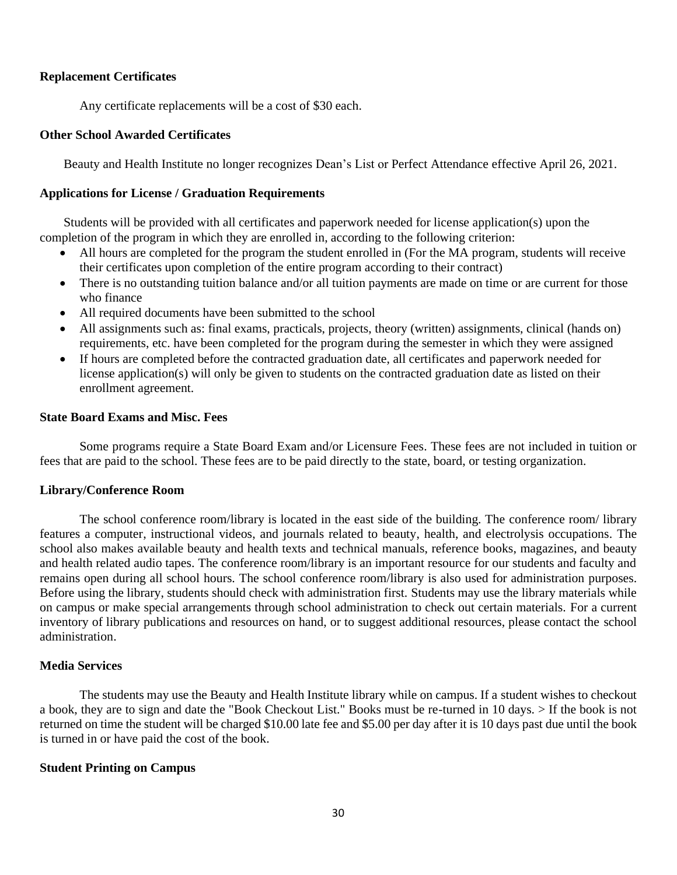## **Replacement Certificates**

Any certificate replacements will be a cost of \$30 each.

## **Other School Awarded Certificates**

Beauty and Health Institute no longer recognizes Dean's List or Perfect Attendance effective April 26, 2021.

## **Applications for License / Graduation Requirements**

Students will be provided with all certificates and paperwork needed for license application(s) upon the completion of the program in which they are enrolled in, according to the following criterion:

- All hours are completed for the program the student enrolled in (For the MA program, students will receive their certificates upon completion of the entire program according to their contract)
- There is no outstanding tuition balance and/or all tuition payments are made on time or are current for those who finance
- All required documents have been submitted to the school
- All assignments such as: final exams, practicals, projects, theory (written) assignments, clinical (hands on) requirements, etc. have been completed for the program during the semester in which they were assigned
- If hours are completed before the contracted graduation date, all certificates and paperwork needed for license application(s) will only be given to students on the contracted graduation date as listed on their enrollment agreement.

## **State Board Exams and Misc. Fees**

Some programs require a State Board Exam and/or Licensure Fees. These fees are not included in tuition or fees that are paid to the school. These fees are to be paid directly to the state, board, or testing organization.

## **Library/Conference Room**

The school conference room/library is located in the east side of the building. The conference room/ library features a computer, instructional videos, and journals related to beauty, health, and electrolysis occupations. The school also makes available beauty and health texts and technical manuals, reference books, magazines, and beauty and health related audio tapes. The conference room/library is an important resource for our students and faculty and remains open during all school hours. The school conference room/library is also used for administration purposes. Before using the library, students should check with administration first. Students may use the library materials while on campus or make special arrangements through school administration to check out certain materials. For a current inventory of library publications and resources on hand, or to suggest additional resources, please contact the school administration.

## **Media Services**

The students may use the Beauty and Health Institute library while on campus. If a student wishes to checkout a book, they are to sign and date the "Book Checkout List." Books must be re-turned in 10 days. > If the book is not returned on time the student will be charged \$10.00 late fee and \$5.00 per day after it is 10 days past due until the book is turned in or have paid the cost of the book.

## **Student Printing on Campus**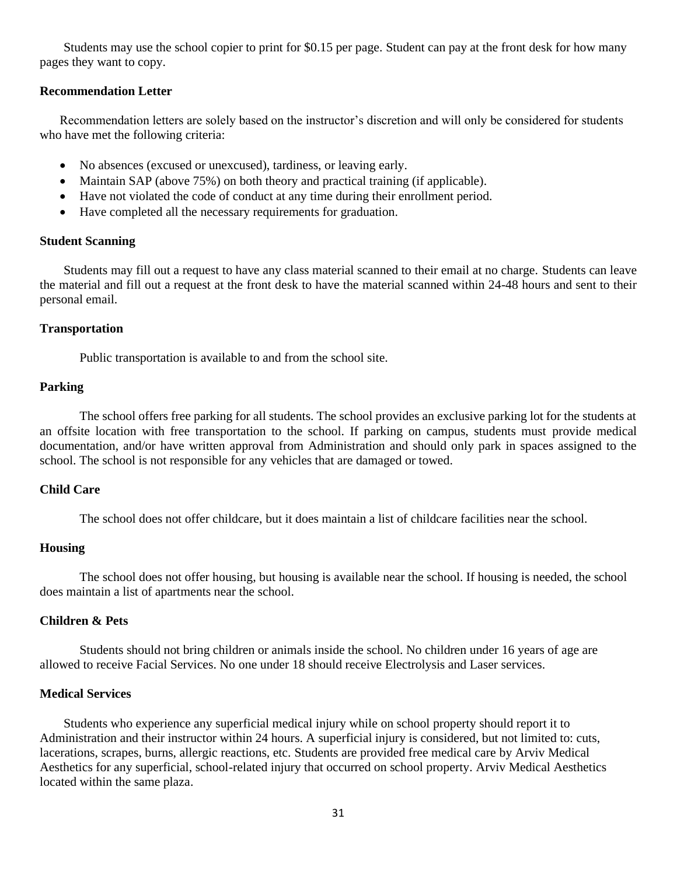Students may use the school copier to print for \$0.15 per page. Student can pay at the front desk for how many pages they want to copy.

## **Recommendation Letter**

Recommendation letters are solely based on the instructor's discretion and will only be considered for students who have met the following criteria:

- No absences (excused or unexcused), tardiness, or leaving early.
- Maintain SAP (above 75%) on both theory and practical training (if applicable).
- Have not violated the code of conduct at any time during their enrollment period.
- Have completed all the necessary requirements for graduation.

#### **Student Scanning**

Students may fill out a request to have any class material scanned to their email at no charge. Students can leave the material and fill out a request at the front desk to have the material scanned within 24-48 hours and sent to their personal email.

#### **Transportation**

Public transportation is available to and from the school site.

## **Parking**

The school offers free parking for all students. The school provides an exclusive parking lot for the students at an offsite location with free transportation to the school. If parking on campus, students must provide medical documentation, and/or have written approval from Administration and should only park in spaces assigned to the school. The school is not responsible for any vehicles that are damaged or towed.

## **Child Care**

The school does not offer childcare, but it does maintain a list of childcare facilities near the school.

#### **Housing**

The school does not offer housing, but housing is available near the school. If housing is needed, the school does maintain a list of apartments near the school.

## **Children & Pets**

Students should not bring children or animals inside the school. No children under 16 years of age are allowed to receive Facial Services. No one under 18 should receive Electrolysis and Laser services.

#### **Medical Services**

Students who experience any superficial medical injury while on school property should report it to Administration and their instructor within 24 hours. A superficial injury is considered, but not limited to: cuts, lacerations, scrapes, burns, allergic reactions, etc. Students are provided free medical care by Arviv Medical Aesthetics for any superficial, school-related injury that occurred on school property. Arviv Medical Aesthetics located within the same plaza.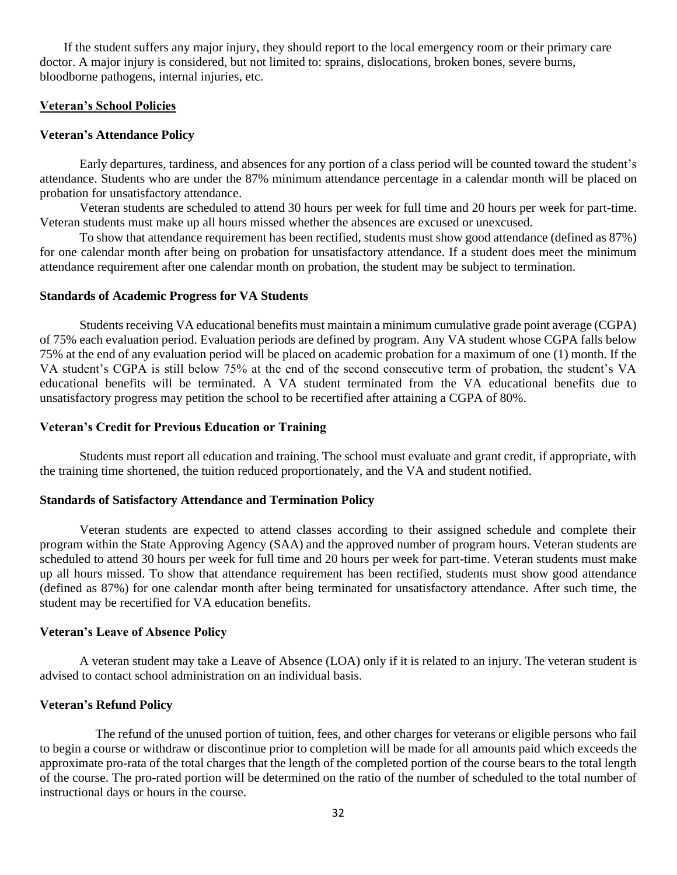If the student suffers any major injury, they should report to the local emergency room or their primary care doctor. A major injury is considered, but not limited to: sprains, dislocations, broken bones, severe burns, bloodborne pathogens, internal injuries, etc.

## **Veteran's School Policies**

#### **Veteran's Attendance Policy**

Early departures, tardiness, and absences for any portion of a class period will be counted toward the student's attendance. Students who are under the 87% minimum attendance percentage in a calendar month will be placed on probation for unsatisfactory attendance.

Veteran students are scheduled to attend 30 hours per week for full time and 20 hours per week for part-time. Veteran students must make up all hours missed whether the absences are excused or unexcused.

To show that attendance requirement has been rectified, students must show good attendance (defined as 87%) for one calendar month after being on probation for unsatisfactory attendance. If a student does meet the minimum attendance requirement after one calendar month on probation, the student may be subject to termination.

#### **Standards of Academic Progress for VA Students**

Students receiving VA educational benefits must maintain a minimum cumulative grade point average (CGPA) of 75% each evaluation period. Evaluation periods are defined by program. Any VA student whose CGPA falls below 75% at the end of any evaluation period will be placed on academic probation for a maximum of one (1) month. If the VA student's CGPA is still below 75% at the end of the second consecutive term of probation, the student's VA educational benefits will be terminated. A VA student terminated from the VA educational benefits due to unsatisfactory progress may petition the school to be recertified after attaining a CGPA of 80%.

#### **Veteran's Credit for Previous Education or Training**

Students must report all education and training. The school must evaluate and grant credit, if appropriate, with the training time shortened, the tuition reduced proportionately, and the VA and student notified.

#### **Standards of Satisfactory Attendance and Termination Policy**

Veteran students are expected to attend classes according to their assigned schedule and complete their program within the State Approving Agency (SAA) and the approved number of program hours. Veteran students are scheduled to attend 30 hours per week for full time and 20 hours per week for part-time. Veteran students must make up all hours missed. To show that attendance requirement has been rectified, students must show good attendance (defined as 87%) for one calendar month after being terminated for unsatisfactory attendance. After such time, the student may be recertified for VA education benefits.

#### **Veteran's Leave of Absence Policy**

A veteran student may take a Leave of Absence (LOA) only if it is related to an injury. The veteran student is advised to contact school administration on an individual basis.

## **Veteran's Refund Policy**

 The refund of the unused portion of tuition, fees, and other charges for veterans or eligible persons who fail to begin a course or withdraw or discontinue prior to completion will be made for all amounts paid which exceeds the approximate pro-rata of the total charges that the length of the completed portion of the course bears to the total length of the course. The pro-rated portion will be determined on the ratio of the number of scheduled to the total number of instructional days or hours in the course.